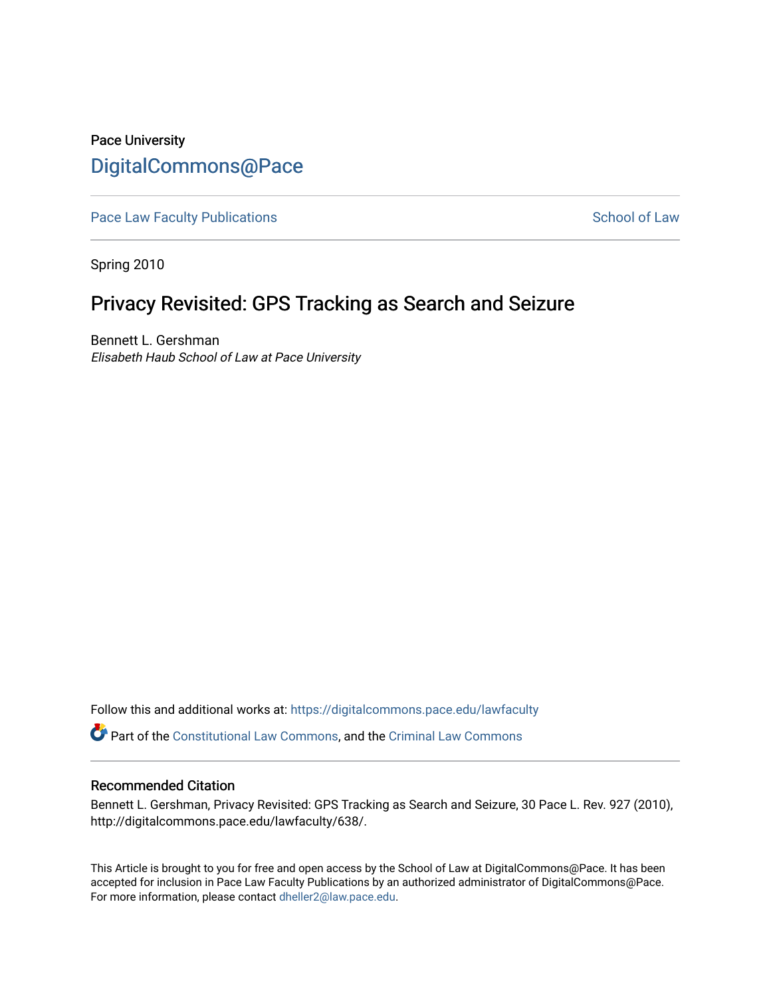# Pace University [DigitalCommons@Pace](https://digitalcommons.pace.edu/)

[Pace Law Faculty Publications](https://digitalcommons.pace.edu/lawfaculty) **School of Law** School of Law

Spring 2010

# Privacy Revisited: GPS Tracking as Search and Seizure

Bennett L. Gershman Elisabeth Haub School of Law at Pace University

Follow this and additional works at: [https://digitalcommons.pace.edu/lawfaculty](https://digitalcommons.pace.edu/lawfaculty?utm_source=digitalcommons.pace.edu%2Flawfaculty%2F638&utm_medium=PDF&utm_campaign=PDFCoverPages) Part of the [Constitutional Law Commons,](http://network.bepress.com/hgg/discipline/589?utm_source=digitalcommons.pace.edu%2Flawfaculty%2F638&utm_medium=PDF&utm_campaign=PDFCoverPages) and the [Criminal Law Commons](http://network.bepress.com/hgg/discipline/912?utm_source=digitalcommons.pace.edu%2Flawfaculty%2F638&utm_medium=PDF&utm_campaign=PDFCoverPages)

# Recommended Citation

Bennett L. Gershman, Privacy Revisited: GPS Tracking as Search and Seizure, 30 Pace L. Rev. 927 (2010), http://digitalcommons.pace.edu/lawfaculty/638/.

This Article is brought to you for free and open access by the School of Law at DigitalCommons@Pace. It has been accepted for inclusion in Pace Law Faculty Publications by an authorized administrator of DigitalCommons@Pace. For more information, please contact [dheller2@law.pace.edu](mailto:dheller2@law.pace.edu).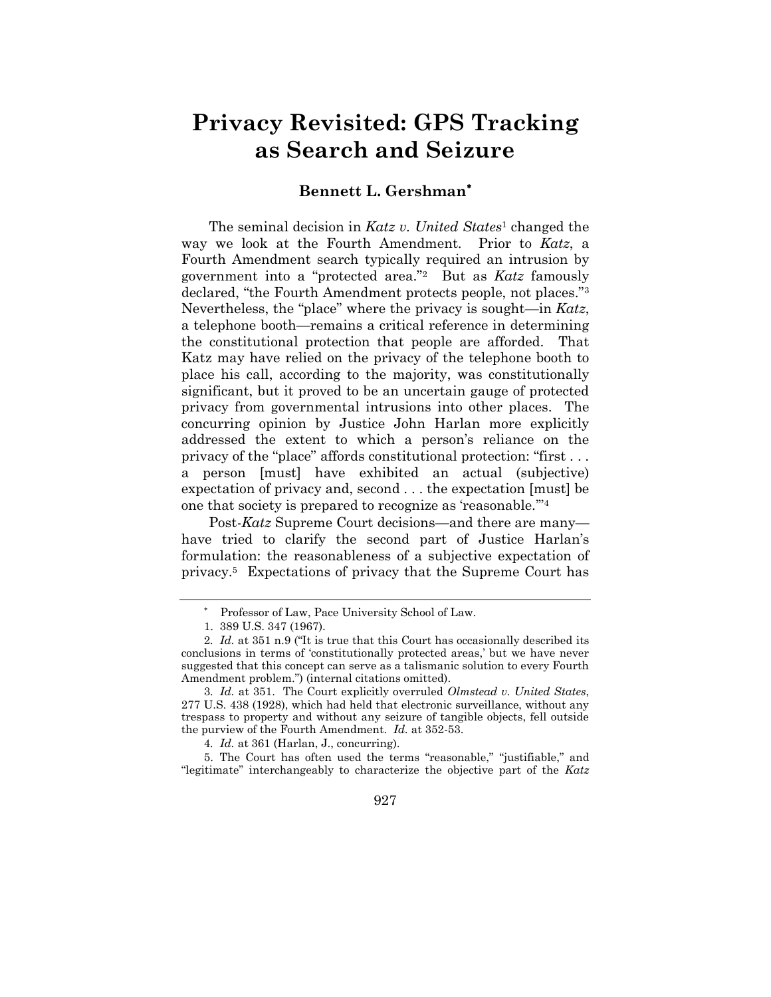# **Privacy Revisited: GPS Tracking as Search and Seizure**

# **Bennett L. Gershman**

The seminal decision in *Katz v. United States*<sup>1</sup> changed the way we look at the Fourth Amendment. Prior to *Katz*, a Fourth Amendment search typically required an intrusion by government into a "protected area."<sup>2</sup> But as *Katz* famously declared, "the Fourth Amendment protects people, not places."<sup>3</sup> Nevertheless, the "place" where the privacy is sought—in *Katz*, a telephone booth—remains a critical reference in determining the constitutional protection that people are afforded. That Katz may have relied on the privacy of the telephone booth to place his call, according to the majority, was constitutionally significant, but it proved to be an uncertain gauge of protected privacy from governmental intrusions into other places. The concurring opinion by Justice John Harlan more explicitly addressed the extent to which a person's reliance on the privacy of the "place" affords constitutional protection: "first . . . a person [must] have exhibited an actual (subjective) expectation of privacy and, second . . . the expectation [must] be one that society is prepared to recognize as "reasonable.""<sup>4</sup>

Post-*Katz* Supreme Court decisions—and there are many have tried to clarify the second part of Justice Harlan's formulation: the reasonableness of a subjective expectation of privacy.<sup>5</sup> Expectations of privacy that the Supreme Court has

927

Professor of Law, Pace University School of Law.

<sup>1.</sup> 389 U.S. 347 (1967).

<sup>2</sup>*. Id.* at 351 n.9 ("It is true that this Court has occasionally described its conclusions in terms of "constitutionally protected areas," but we have never suggested that this concept can serve as a talismanic solution to every Fourth Amendment problem.") (internal citations omitted).

<sup>3</sup>*. Id.* at 351. The Court explicitly overruled *Olmstead v. United States*, 277 U.S. 438 (1928), which had held that electronic surveillance, without any trespass to property and without any seizure of tangible objects, fell outside the purview of the Fourth Amendment. *Id.* at 352-53.

<sup>4</sup>*. Id.* at 361 (Harlan, J., concurring).

<sup>5.</sup> The Court has often used the terms "reasonable," "justifiable," and "legitimate" interchangeably to characterize the objective part of the *Katz*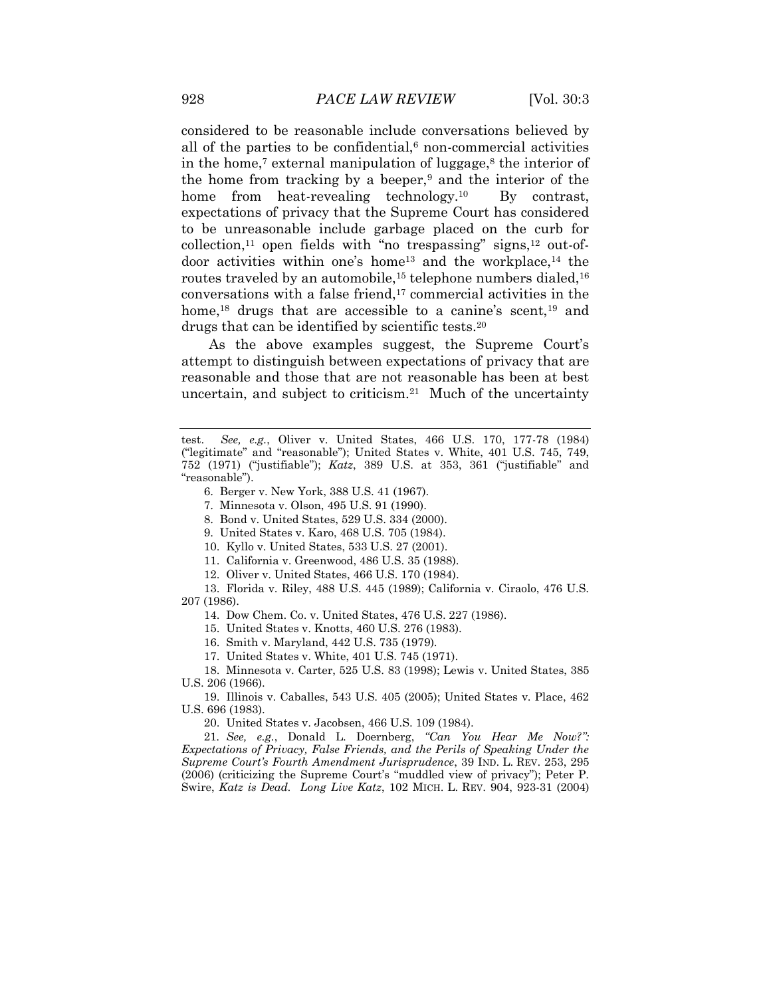considered to be reasonable include conversations believed by all of the parties to be confidential, $6$  non-commercial activities in the home,<sup>7</sup> external manipulation of luggage, $^8$  the interior of the home from tracking by a beeper, $9$  and the interior of the home from heat-revealing technology.<sup>10</sup> By contrast, expectations of privacy that the Supreme Court has considered to be unreasonable include garbage placed on the curb for  $\text{collection},^{11}$  open fields with "no trespassing" signs,<sup>12</sup> out-ofdoor activities within one's home<sup>13</sup> and the workplace,<sup>14</sup> the routes traveled by an automobile,<sup>15</sup> telephone numbers dialed,<sup>16</sup> conversations with a false friend, $17$  commercial activities in the home,<sup>18</sup> drugs that are accessible to a canine's scent,<sup>19</sup> and drugs that can be identified by scientific tests.<sup>20</sup>

As the above examples suggest, the Supreme Court's attempt to distinguish between expectations of privacy that are reasonable and those that are not reasonable has been at best uncertain, and subject to criticism.<sup>21</sup> Much of the uncertainty

- 11. California v. Greenwood, 486 U.S. 35 (1988).
- 12. Oliver v. United States, 466 U.S. 170 (1984).

13. Florida v. Riley, 488 U.S. 445 (1989); California v. Ciraolo, 476 U.S. 207 (1986).

14. Dow Chem. Co. v. United States, 476 U.S. 227 (1986).

15. United States v. Knotts, 460 U.S. 276 (1983).

16. Smith v. Maryland, 442 U.S. 735 (1979).

17. United States v. White, 401 U.S. 745 (1971).

18. Minnesota v. Carter, 525 U.S. 83 (1998); Lewis v. United States, 385 U.S. 206 (1966).

19. Illinois v. Caballes, 543 U.S. 405 (2005); United States v. Place, 462 U.S. 696 (1983).

20. United States v. Jacobsen, 466 U.S. 109 (1984).

21*. See, e.g.*, Donald L. Doernberg, *"Can You Hear Me Now?": Expectations of Privacy, False Friends, and the Perils of Speaking Under the Supreme Court's Fourth Amendment Jurisprudence*, 39 IND. L. REV. 253, 295 (2006) (criticizing the Supreme Court"s "muddled view of privacy"); Peter P. Swire, *Katz is Dead. Long Live Katz*, 102 MICH. L. REV. 904, 923-31 (2004)

test. *See, e.g.*, Oliver v. United States, 466 U.S. 170, 177-78 (1984) ("legitimate" and "reasonable"); United States v. White, 401 U.S. 745, 749, 752 (1971) ("justifiable"); *Katz*, 389 U.S. at 353, 361 ("justifiable" and "reasonable").

<sup>6.</sup> Berger v. New York, 388 U.S. 41 (1967).

<sup>7.</sup> Minnesota v. Olson, 495 U.S. 91 (1990).

<sup>8.</sup> Bond v. United States, 529 U.S. 334 (2000).

<sup>9.</sup> United States v. Karo, 468 U.S. 705 (1984).

<sup>10.</sup> Kyllo v. United States, 533 U.S. 27 (2001).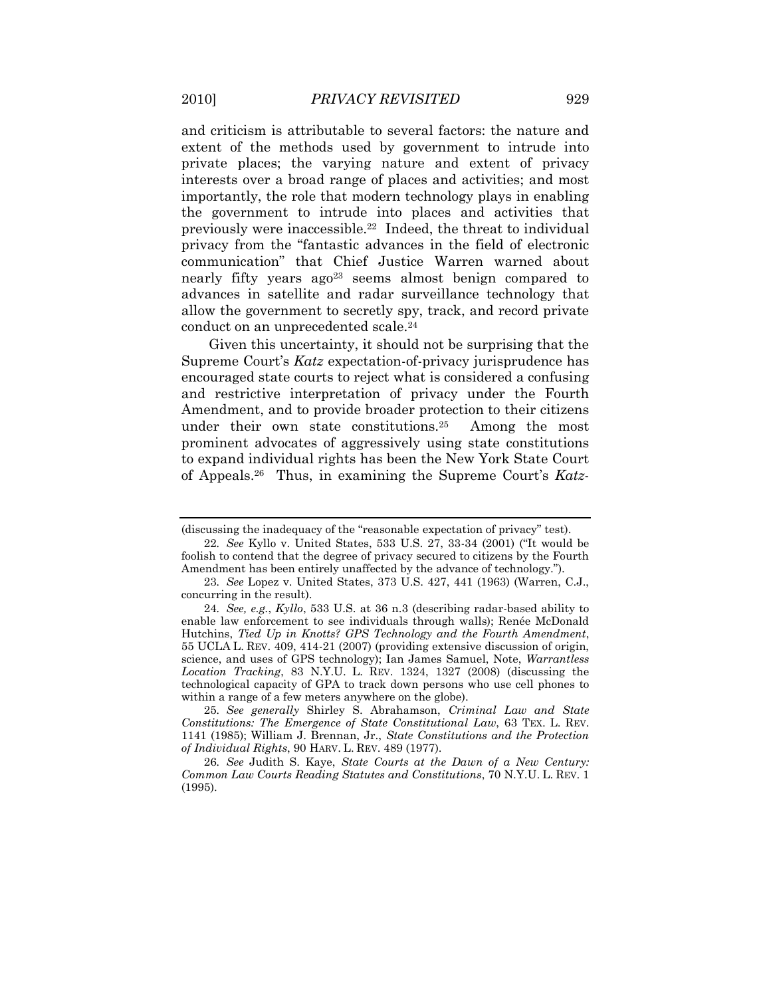and criticism is attributable to several factors: the nature and extent of the methods used by government to intrude into private places; the varying nature and extent of privacy interests over a broad range of places and activities; and most importantly, the role that modern technology plays in enabling the government to intrude into places and activities that previously were inaccessible.<sup>22</sup> Indeed, the threat to individual privacy from the "fantastic advances in the field of electronic communication" that Chief Justice Warren warned about nearly fifty years ago<sup>23</sup> seems almost benign compared to advances in satellite and radar surveillance technology that allow the government to secretly spy, track, and record private conduct on an unprecedented scale.<sup>24</sup>

Given this uncertainty, it should not be surprising that the Supreme Court"s *Katz* expectation-of-privacy jurisprudence has encouraged state courts to reject what is considered a confusing and restrictive interpretation of privacy under the Fourth Amendment, and to provide broader protection to their citizens under their own state constitutions.<sup>25</sup> Among the most prominent advocates of aggressively using state constitutions to expand individual rights has been the New York State Court of Appeals.<sup>26</sup> Thus, in examining the Supreme Court's Katz-

<sup>(</sup>discussing the inadequacy of the "reasonable expectation of privacy" test).

<sup>22</sup>*. See* Kyllo v. United States, 533 U.S. 27, 33-34 (2001) ("It would be foolish to contend that the degree of privacy secured to citizens by the Fourth Amendment has been entirely unaffected by the advance of technology.").

<sup>23</sup>*. See* Lopez v. United States, 373 U.S. 427, 441 (1963) (Warren, C.J., concurring in the result).

<sup>24</sup>*. See, e.g.*, *Kyllo*, 533 U.S. at 36 n.3 (describing radar-based ability to enable law enforcement to see individuals through walls); Renée McDonald Hutchins, *Tied Up in Knotts? GPS Technology and the Fourth Amendment*, 55 UCLA L. REV. 409, 414-21 (2007) (providing extensive discussion of origin, science, and uses of GPS technology); Ian James Samuel, Note, *Warrantless Location Tracking*, 83 N.Y.U. L. REV. 1324, 1327 (2008) (discussing the technological capacity of GPA to track down persons who use cell phones to within a range of a few meters anywhere on the globe).

<sup>25</sup>*. See generally* Shirley S. Abrahamson, *Criminal Law and State Constitutions: The Emergence of State Constitutional Law*, 63 TEX. L. REV. 1141 (1985); William J. Brennan, Jr., *State Constitutions and the Protection of Individual Rights*, 90 HARV. L. REV. 489 (1977).

<sup>26</sup>*. See* Judith S. Kaye, *State Courts at the Dawn of a New Century: Common Law Courts Reading Statutes and Constitutions*, 70 N.Y.U. L. REV. 1 (1995).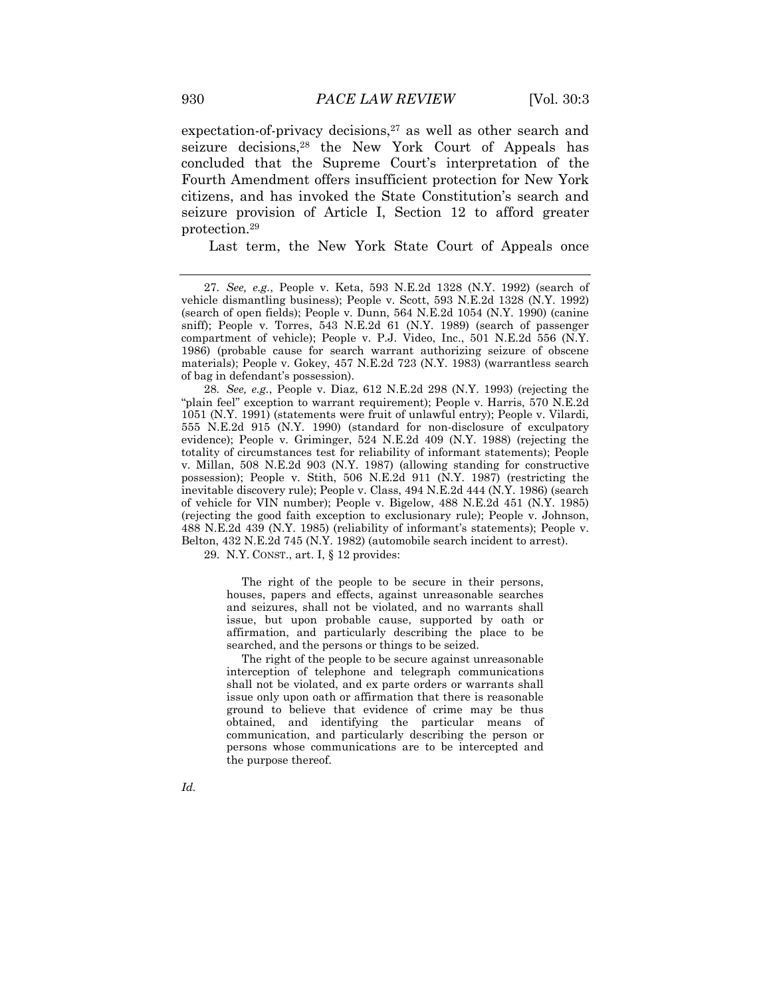expectation-of-privacy decisions, $27$  as well as other search and seizure decisions,<sup>28</sup> the New York Court of Appeals has concluded that the Supreme Court's interpretation of the Fourth Amendment offers insufficient protection for New York citizens, and has invoked the State Constitution"s search and seizure provision of Article I, Section 12 to afford greater protection.<sup>29</sup>

Last term, the New York State Court of Appeals once

28*. See, e.g.*, People v. Diaz, 612 N.E.2d 298 (N.Y. 1993) (rejecting the "plain feel" exception to warrant requirement); People v. Harris, 570 N.E.2d 1051 (N.Y. 1991) (statements were fruit of unlawful entry); People v. Vilardi, 555 N.E.2d 915 (N.Y. 1990) (standard for non-disclosure of exculpatory evidence); People v. Griminger, 524 N.E.2d 409 (N.Y. 1988) (rejecting the totality of circumstances test for reliability of informant statements); People v. Millan, 508 N.E.2d 903 (N.Y. 1987) (allowing standing for constructive possession); People v. Stith, 506 N.E.2d 911 (N.Y. 1987) (restricting the inevitable discovery rule); People v. Class, 494 N.E.2d 444 (N.Y. 1986) (search of vehicle for VIN number); People v. Bigelow, 488 N.E.2d 451 (N.Y. 1985) (rejecting the good faith exception to exclusionary rule); People v. Johnson, 488 N.E.2d 439 (N.Y. 1985) (reliability of informant"s statements); People v. Belton, 432 N.E.2d 745 (N.Y. 1982) (automobile search incident to arrest).

29. N.Y. CONST., art. I, § 12 provides:

The right of the people to be secure in their persons, houses, papers and effects, against unreasonable searches and seizures, shall not be violated, and no warrants shall issue, but upon probable cause, supported by oath or affirmation, and particularly describing the place to be searched, and the persons or things to be seized.

The right of the people to be secure against unreasonable interception of telephone and telegraph communications shall not be violated, and ex parte orders or warrants shall issue only upon oath or affirmation that there is reasonable ground to believe that evidence of crime may be thus obtained, and identifying the particular means of communication, and particularly describing the person or persons whose communications are to be intercepted and the purpose thereof.

*Id.*

<sup>27</sup>*. See, e.g.*, People v. Keta, 593 N.E.2d 1328 (N.Y. 1992) (search of vehicle dismantling business); People v. Scott, 593 N.E.2d 1328 (N.Y. 1992) (search of open fields); People v. Dunn, 564 N.E.2d 1054 (N.Y. 1990) (canine sniff); People v. Torres, 543 N.E.2d 61 (N.Y. 1989) (search of passenger compartment of vehicle); People v. P.J. Video, Inc., 501 N.E.2d 556 (N.Y. 1986) (probable cause for search warrant authorizing seizure of obscene materials); People v. Gokey, 457 N.E.2d 723 (N.Y. 1983) (warrantless search of bag in defendant"s possession).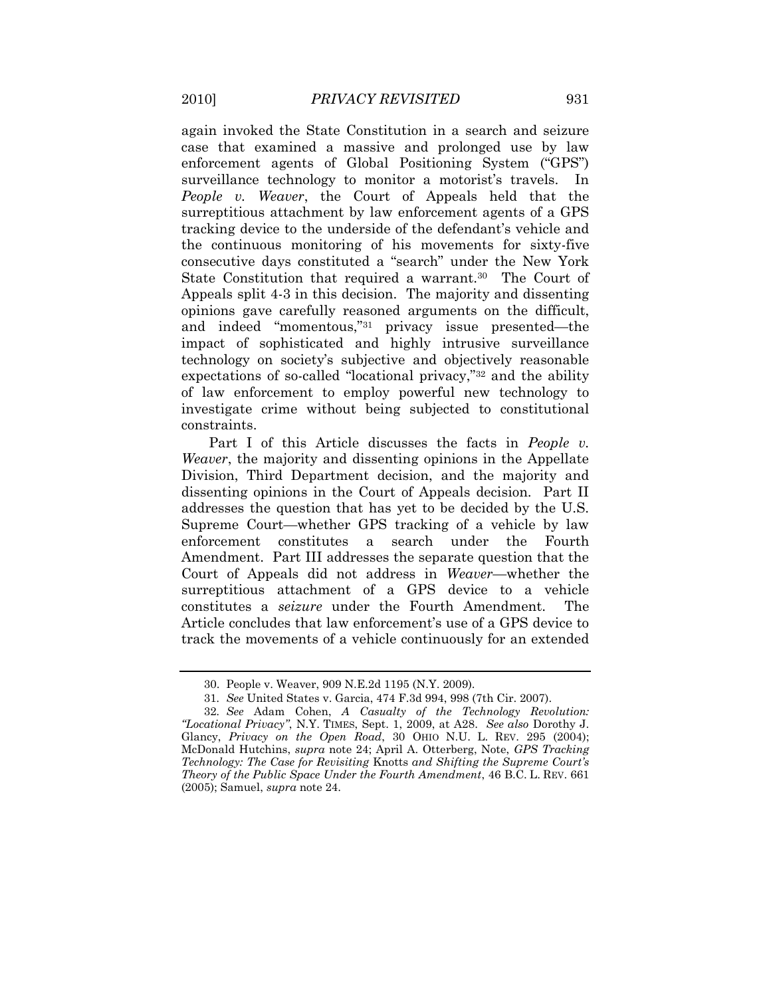again invoked the State Constitution in a search and seizure case that examined a massive and prolonged use by law enforcement agents of Global Positioning System ("GPS") surveillance technology to monitor a motorist's travels. In *People v. Weaver*, the Court of Appeals held that the surreptitious attachment by law enforcement agents of a GPS tracking device to the underside of the defendant"s vehicle and the continuous monitoring of his movements for sixty-five consecutive days constituted a "search" under the New York State Constitution that required a warrant.<sup>30</sup> The Court of Appeals split 4-3 in this decision. The majority and dissenting opinions gave carefully reasoned arguments on the difficult, and indeed "momentous,"<sup>31</sup> privacy issue presented—the impact of sophisticated and highly intrusive surveillance technology on society's subjective and objectively reasonable expectations of so-called "locational privacy,"<sup>32</sup> and the ability of law enforcement to employ powerful new technology to investigate crime without being subjected to constitutional constraints.

Part I of this Article discusses the facts in *People v. Weaver*, the majority and dissenting opinions in the Appellate Division, Third Department decision, and the majority and dissenting opinions in the Court of Appeals decision. Part II addresses the question that has yet to be decided by the U.S. Supreme Court—whether GPS tracking of a vehicle by law enforcement constitutes a search under the Fourth Amendment. Part III addresses the separate question that the Court of Appeals did not address in *Weaver*—whether the surreptitious attachment of a GPS device to a vehicle constitutes a *seizure* under the Fourth Amendment. The Article concludes that law enforcement's use of a GPS device to track the movements of a vehicle continuously for an extended

<sup>30.</sup> People v. Weaver, 909 N.E.2d 1195 (N.Y. 2009).

<sup>31</sup>*. See* United States v. Garcia, 474 F.3d 994, 998 (7th Cir. 2007).

<sup>32</sup>*. See* Adam Cohen, *A Casualty of the Technology Revolution: "Locational Privacy"*, N.Y. TIMES, Sept. 1, 2009, at A28. *See also* Dorothy J. Glancy, *Privacy on the Open Road*, 30 OHIO N.U. L. REV. 295 (2004); McDonald Hutchins, *supra* note 24; April A. Otterberg, Note, *GPS Tracking Technology: The Case for Revisiting* Knotts *and Shifting the Supreme Court's Theory of the Public Space Under the Fourth Amendment*, 46 B.C. L. REV. 661 (2005); Samuel, *supra* note 24.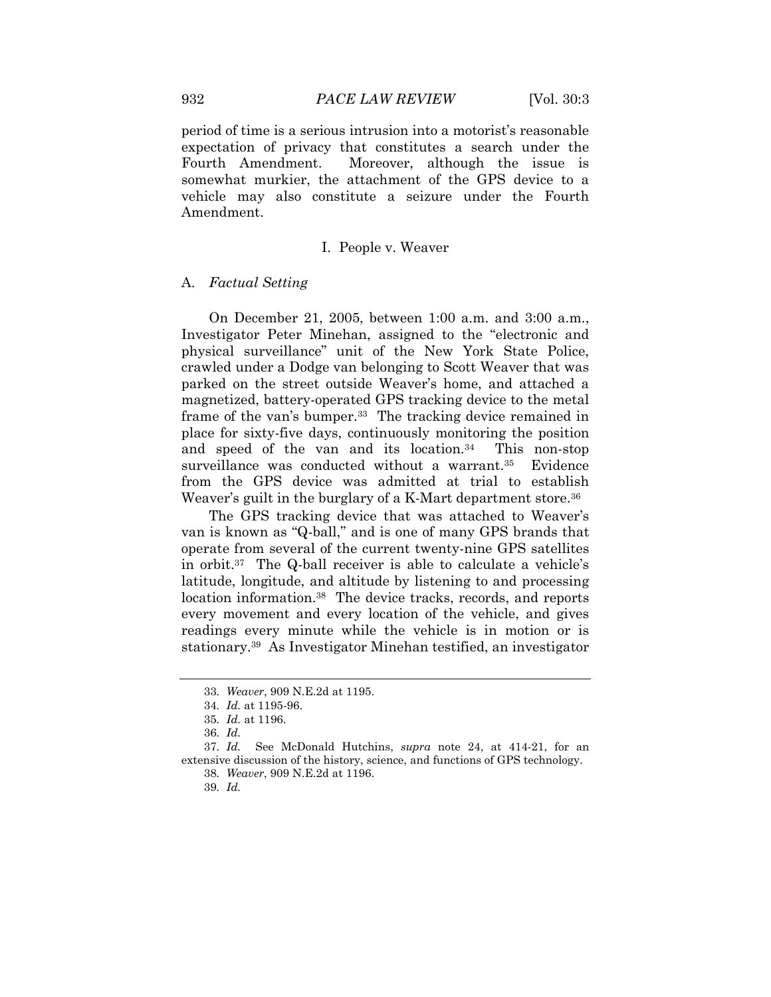period of time is a serious intrusion into a motorist"s reasonable expectation of privacy that constitutes a search under the Fourth Amendment. Moreover, although the issue is somewhat murkier, the attachment of the GPS device to a vehicle may also constitute a seizure under the Fourth Amendment.

#### I. People v. Weaver

## A. *Factual Setting*

On December 21, 2005, between 1:00 a.m. and 3:00 a.m., Investigator Peter Minehan, assigned to the "electronic and physical surveillance" unit of the New York State Police, crawled under a Dodge van belonging to Scott Weaver that was parked on the street outside Weaver"s home, and attached a magnetized, battery-operated GPS tracking device to the metal frame of the van's bumper.<sup>33</sup> The tracking device remained in place for sixty-five days, continuously monitoring the position and speed of the van and its location.<sup>34</sup> This non-stop surveillance was conducted without a warrant.<sup>35</sup> Evidence from the GPS device was admitted at trial to establish Weaver's guilt in the burglary of a K-Mart department store.<sup>36</sup>

The GPS tracking device that was attached to Weaver's van is known as "Q-ball," and is one of many GPS brands that operate from several of the current twenty-nine GPS satellites in orbit.<sup>37</sup> The Q-ball receiver is able to calculate a vehicle's latitude, longitude, and altitude by listening to and processing location information.<sup>38</sup> The device tracks, records, and reports every movement and every location of the vehicle, and gives readings every minute while the vehicle is in motion or is stationary.<sup>39</sup> As Investigator Minehan testified, an investigator

<sup>33</sup>*. Weaver*, 909 N.E.2d at 1195.

<sup>34</sup>*. Id.* at 1195-96.

<sup>35</sup>*. Id.* at 1196.

<sup>36</sup>*. Id.*

<sup>37</sup>*. Id.* See McDonald Hutchins, *supra* note 24, at 414-21, for an extensive discussion of the history, science, and functions of GPS technology.

<sup>38</sup>*. Weaver*, 909 N.E.2d at 1196.

<sup>39</sup>*. Id.*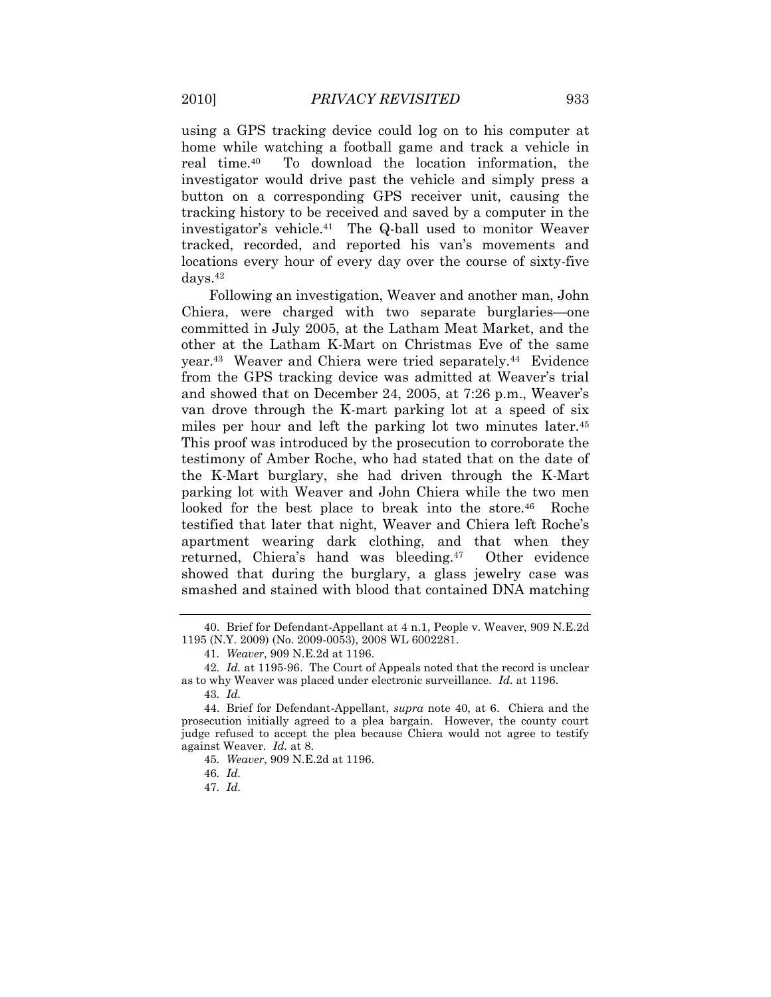using a GPS tracking device could log on to his computer at home while watching a football game and track a vehicle in real time.<sup>40</sup> To download the location information, the investigator would drive past the vehicle and simply press a button on a corresponding GPS receiver unit, causing the tracking history to be received and saved by a computer in the investigator's vehicle.<sup>41</sup> The Q-ball used to monitor Weaver tracked, recorded, and reported his van"s movements and locations every hour of every day over the course of sixty-five days.<sup>42</sup>

Following an investigation, Weaver and another man, John Chiera, were charged with two separate burglaries—one committed in July 2005, at the Latham Meat Market, and the other at the Latham K-Mart on Christmas Eve of the same year.<sup>43</sup> Weaver and Chiera were tried separately.<sup>44</sup> Evidence from the GPS tracking device was admitted at Weaver"s trial and showed that on December 24, 2005, at 7:26 p.m., Weaver's van drove through the K-mart parking lot at a speed of six miles per hour and left the parking lot two minutes later.<sup>45</sup> This proof was introduced by the prosecution to corroborate the testimony of Amber Roche, who had stated that on the date of the K-Mart burglary, she had driven through the K-Mart parking lot with Weaver and John Chiera while the two men looked for the best place to break into the store.<sup>46</sup> Roche testified that later that night, Weaver and Chiera left Roche"s apartment wearing dark clothing, and that when they returned, Chiera's hand was bleeding.<sup>47</sup> Other evidence showed that during the burglary, a glass jewelry case was smashed and stained with blood that contained DNA matching

47*. Id.*

<sup>40.</sup> Brief for Defendant-Appellant at 4 n.1, People v. Weaver, 909 N.E.2d 1195 (N.Y. 2009) (No. 2009-0053), 2008 WL 6002281.

<sup>41</sup>*. Weaver*, 909 N.E.2d at 1196.

<sup>42</sup>*. Id.* at 1195-96.The Court of Appeals noted that the record is unclear as to why Weaver was placed under electronic surveillance. *Id.* at 1196.

<sup>43</sup>*. Id.*

<sup>44.</sup> Brief for Defendant-Appellant, *supra* note 40, at 6. Chiera and the prosecution initially agreed to a plea bargain. However, the county court judge refused to accept the plea because Chiera would not agree to testify against Weaver. *Id.* at 8.

<sup>45</sup>*. Weaver*, 909 N.E.2d at 1196.

<sup>46</sup>*. Id.*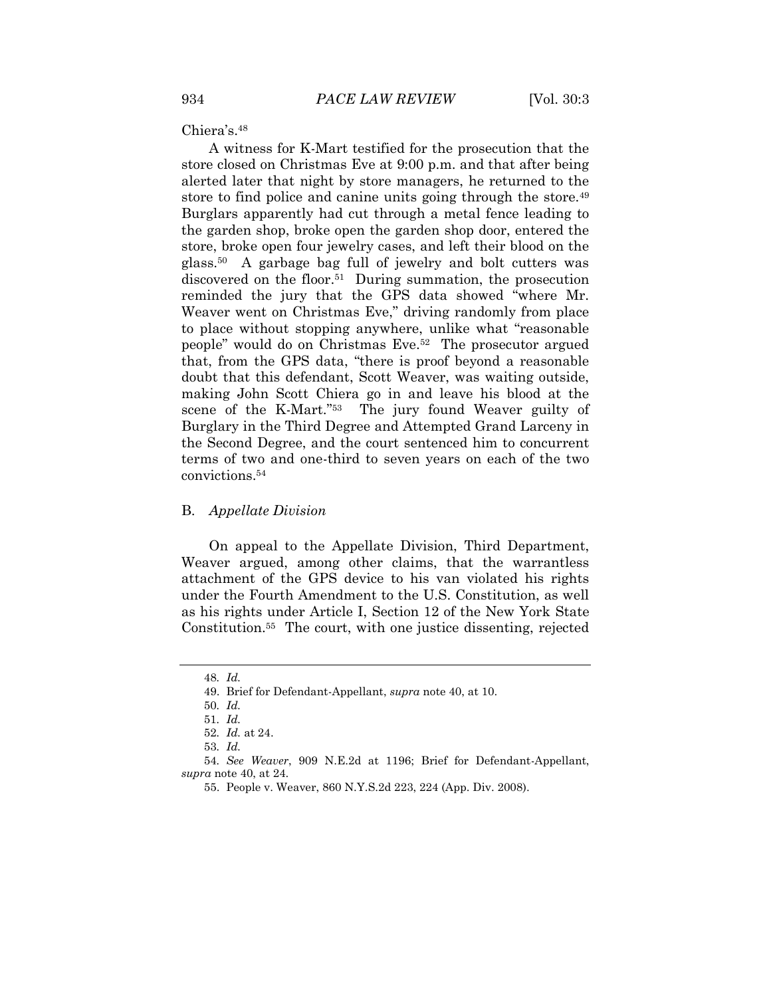Chiera's.<sup>48</sup>

A witness for K-Mart testified for the prosecution that the store closed on Christmas Eve at 9:00 p.m. and that after being alerted later that night by store managers, he returned to the store to find police and canine units going through the store.<sup>49</sup> Burglars apparently had cut through a metal fence leading to the garden shop, broke open the garden shop door, entered the store, broke open four jewelry cases, and left their blood on the glass.<sup>50</sup> A garbage bag full of jewelry and bolt cutters was discovered on the floor.<sup>51</sup> During summation, the prosecution reminded the jury that the GPS data showed "where Mr. Weaver went on Christmas Eve," driving randomly from place to place without stopping anywhere, unlike what "reasonable people" would do on Christmas Eve.<sup>52</sup> The prosecutor argued that, from the GPS data, "there is proof beyond a reasonable doubt that this defendant, Scott Weaver, was waiting outside, making John Scott Chiera go in and leave his blood at the scene of the K-Mart."<sup>53</sup> The jury found Weaver guilty of Burglary in the Third Degree and Attempted Grand Larceny in the Second Degree, and the court sentenced him to concurrent terms of two and one-third to seven years on each of the two convictions.<sup>54</sup>

#### B. *Appellate Division*

On appeal to the Appellate Division, Third Department, Weaver argued, among other claims, that the warrantless attachment of the GPS device to his van violated his rights under the Fourth Amendment to the U.S. Constitution, as well as his rights under Article I, Section 12 of the New York State Constitution.<sup>55</sup> The court, with one justice dissenting, rejected

<sup>48</sup>*. Id.*

<sup>49.</sup> Brief for Defendant-Appellant, *supra* note 40, at 10.

<sup>50</sup>*. Id.*

<sup>51</sup>*. Id.*

<sup>52</sup>*. Id.* at 24.

<sup>53</sup>*. Id.*

<sup>54</sup>*. See Weaver*, 909 N.E.2d at 1196; Brief for Defendant-Appellant, *supra* note 40, at 24.

<sup>55.</sup> People v. Weaver, 860 N.Y.S.2d 223, 224 (App. Div. 2008).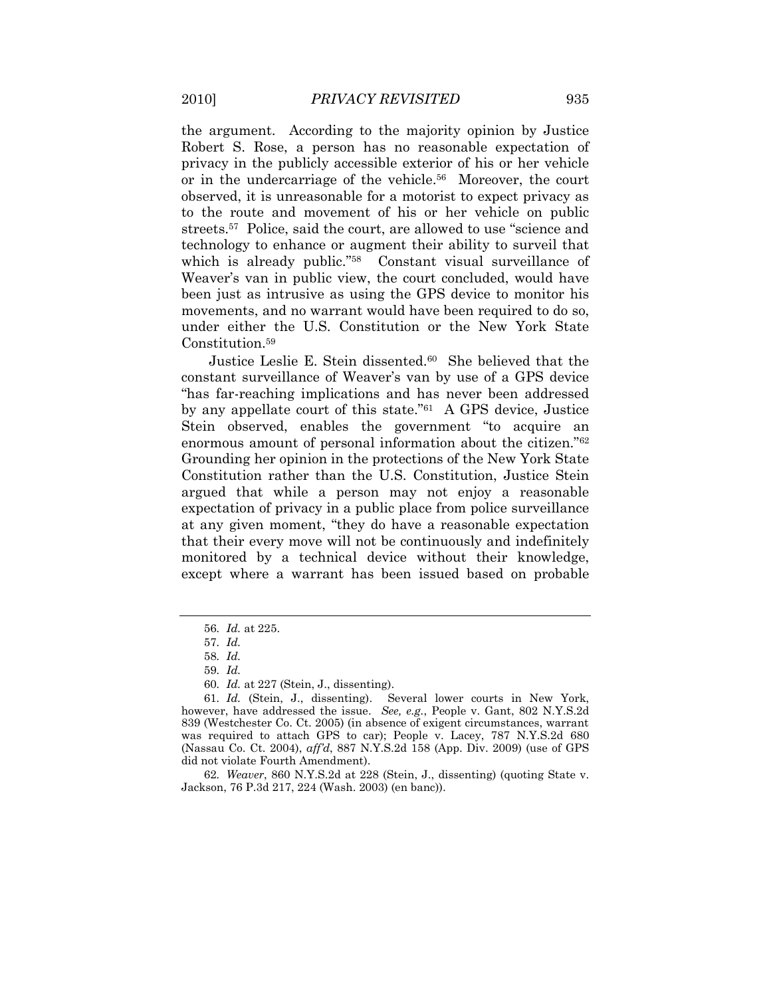the argument. According to the majority opinion by Justice Robert S. Rose, a person has no reasonable expectation of privacy in the publicly accessible exterior of his or her vehicle or in the undercarriage of the vehicle.<sup>56</sup> Moreover, the court observed, it is unreasonable for a motorist to expect privacy as to the route and movement of his or her vehicle on public streets.<sup>57</sup> Police, said the court, are allowed to use "science and technology to enhance or augment their ability to surveil that which is already public."<sup>58</sup> Constant visual surveillance of Weaver's van in public view, the court concluded, would have been just as intrusive as using the GPS device to monitor his movements, and no warrant would have been required to do so, under either the U.S. Constitution or the New York State Constitution.<sup>59</sup>

Justice Leslie E. Stein dissented.<sup>60</sup> She believed that the constant surveillance of Weaver"s van by use of a GPS device "has far-reaching implications and has never been addressed by any appellate court of this state."<sup>61</sup> A GPS device, Justice Stein observed, enables the government "to acquire an enormous amount of personal information about the citizen."<sup>62</sup> Grounding her opinion in the protections of the New York State Constitution rather than the U.S. Constitution, Justice Stein argued that while a person may not enjoy a reasonable expectation of privacy in a public place from police surveillance at any given moment, "they do have a reasonable expectation that their every move will not be continuously and indefinitely monitored by a technical device without their knowledge, except where a warrant has been issued based on probable

62*. Weaver*, 860 N.Y.S.2d at 228 (Stein, J., dissenting) (quoting State v. Jackson, 76 P.3d 217, 224 (Wash. 2003) (en banc)).

<sup>56</sup>*. Id.* at 225.

<sup>57</sup>*. Id.*

<sup>58</sup>*. Id.*

<sup>59</sup>*. Id.*

<sup>60</sup>*. Id.* at 227 (Stein, J., dissenting).

<sup>61</sup>*. Id.* (Stein, J., dissenting). Several lower courts in New York, however, have addressed the issue. *See, e.g.*, People v. Gant, 802 N.Y.S.2d 839 (Westchester Co. Ct. 2005) (in absence of exigent circumstances, warrant was required to attach GPS to car); People v. Lacey, 787 N.Y.S.2d 680 (Nassau Co. Ct. 2004), *aff'd*, 887 N.Y.S.2d 158 (App. Div. 2009) (use of GPS did not violate Fourth Amendment).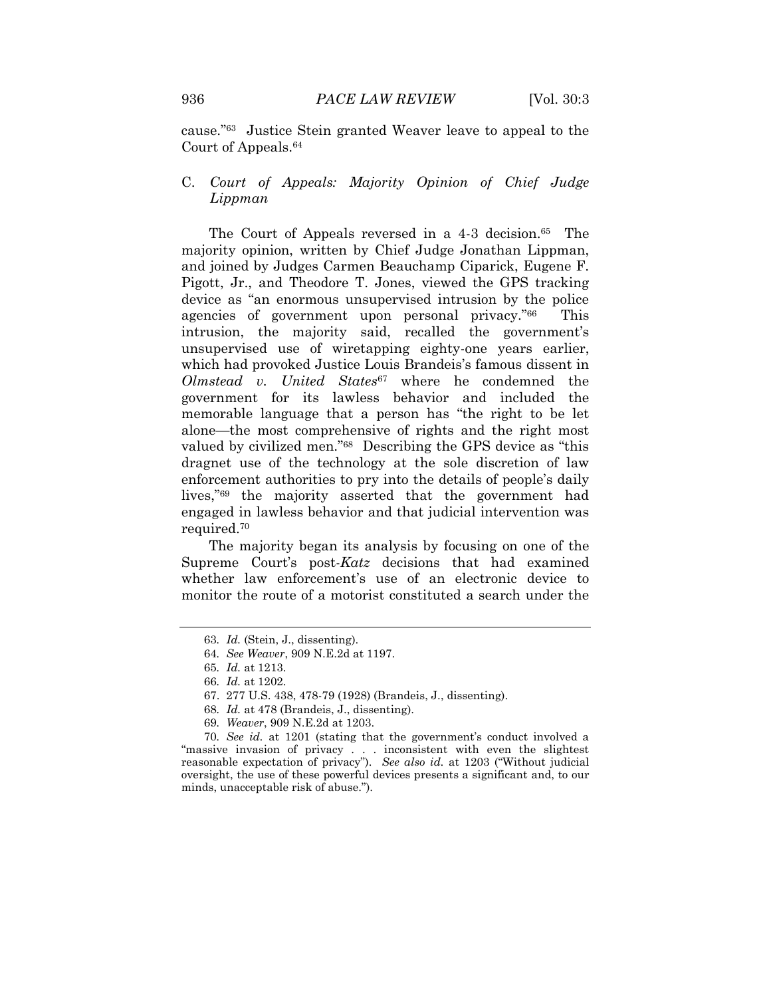cause."<sup>63</sup> Justice Stein granted Weaver leave to appeal to the Court of Appeals.<sup>64</sup>

# C. *Court of Appeals: Majority Opinion of Chief Judge Lippman*

The Court of Appeals reversed in a 4-3 decision.<sup>65</sup> The majority opinion, written by Chief Judge Jonathan Lippman, and joined by Judges Carmen Beauchamp Ciparick, Eugene F. Pigott, Jr., and Theodore T. Jones, viewed the GPS tracking device as "an enormous unsupervised intrusion by the police agencies of government upon personal privacy."<sup>66</sup> This intrusion, the majority said, recalled the government's unsupervised use of wiretapping eighty-one years earlier, which had provoked Justice Louis Brandeis's famous dissent in *Olmstead v. United States*<sup>67</sup> where he condemned the government for its lawless behavior and included the memorable language that a person has "the right to be let alone—the most comprehensive of rights and the right most valued by civilized men."<sup>68</sup> Describing the GPS device as "this dragnet use of the technology at the sole discretion of law enforcement authorities to pry into the details of people"s daily lives,"<sup>69</sup> the majority asserted that the government had engaged in lawless behavior and that judicial intervention was required.<sup>70</sup>

The majority began its analysis by focusing on one of the Supreme Court's post-*Katz* decisions that had examined whether law enforcement's use of an electronic device to monitor the route of a motorist constituted a search under the

69*. Weaver*, 909 N.E.2d at 1203.

70*. See id.* at 1201 (stating that the government's conduct involved a "massive invasion of privacy . . . inconsistent with even the slightest reasonable expectation of privacy"). *See also id.* at 1203 ("Without judicial oversight, the use of these powerful devices presents a significant and, to our minds, unacceptable risk of abuse.").

<sup>63</sup>*. Id.* (Stein, J., dissenting).

<sup>64</sup>*. See Weaver*, 909 N.E.2d at 1197.

<sup>65</sup>*. Id.* at 1213.

<sup>66</sup>*. Id.* at 1202.

<sup>67.</sup> 277 U.S. 438, 478-79 (1928) (Brandeis, J., dissenting).

<sup>68</sup>*. Id.* at 478 (Brandeis, J., dissenting).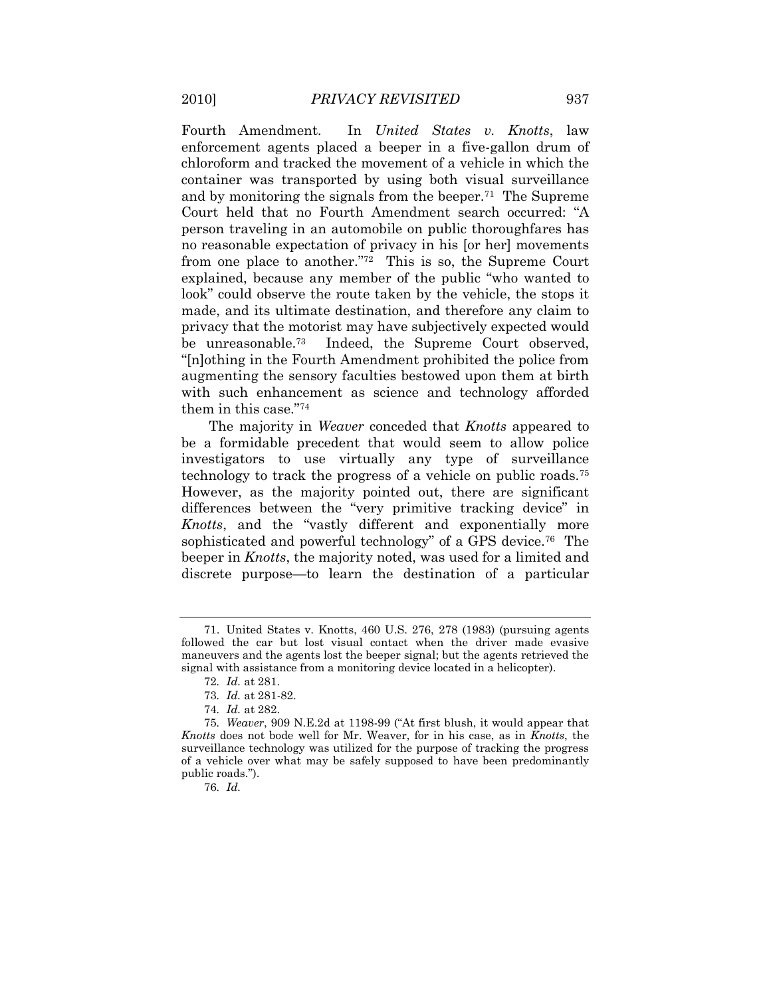Fourth Amendment. In *United States v. Knotts*, law enforcement agents placed a beeper in a five-gallon drum of chloroform and tracked the movement of a vehicle in which the container was transported by using both visual surveillance and by monitoring the signals from the beeper.<sup>71</sup> The Supreme Court held that no Fourth Amendment search occurred: "A person traveling in an automobile on public thoroughfares has no reasonable expectation of privacy in his [or her] movements from one place to another."<sup>72</sup> This is so, the Supreme Court explained, because any member of the public "who wanted to look" could observe the route taken by the vehicle, the stops it made, and its ultimate destination, and therefore any claim to privacy that the motorist may have subjectively expected would be unreasonable.<sup>73</sup> Indeed, the Supreme Court observed, "[n]othing in the Fourth Amendment prohibited the police from augmenting the sensory faculties bestowed upon them at birth with such enhancement as science and technology afforded them in this case."<sup>74</sup>

The majority in *Weaver* conceded that *Knotts* appeared to be a formidable precedent that would seem to allow police investigators to use virtually any type of surveillance technology to track the progress of a vehicle on public roads.<sup>75</sup> However, as the majority pointed out, there are significant differences between the "very primitive tracking device" in *Knotts*, and the "vastly different and exponentially more sophisticated and powerful technology" of a GPS device.<sup>76</sup> The beeper in *Knotts*, the majority noted, was used for a limited and discrete purpose—to learn the destination of a particular

76*. Id.*

<sup>71.</sup> United States v. Knotts, 460 U.S. 276, 278 (1983) (pursuing agents followed the car but lost visual contact when the driver made evasive maneuvers and the agents lost the beeper signal; but the agents retrieved the signal with assistance from a monitoring device located in a helicopter).

<sup>72</sup>*. Id.* at 281.

<sup>73</sup>*. Id.* at 281-82.

<sup>74</sup>*. Id.* at 282.

<sup>75</sup>*. Weaver*, 909 N.E.2d at 1198-99 ("At first blush, it would appear that *Knotts* does not bode well for Mr. Weaver, for in his case, as in *Knotts*, the surveillance technology was utilized for the purpose of tracking the progress of a vehicle over what may be safely supposed to have been predominantly public roads.").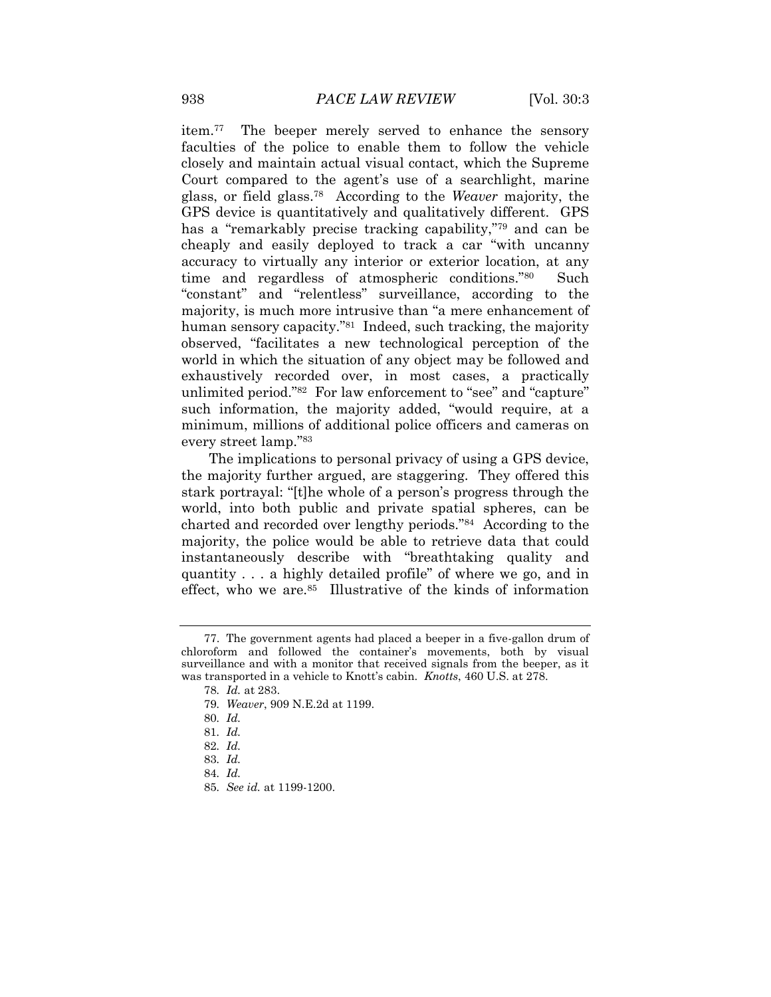item.<sup>77</sup> The beeper merely served to enhance the sensory faculties of the police to enable them to follow the vehicle closely and maintain actual visual contact, which the Supreme Court compared to the agent's use of a searchlight, marine glass, or field glass.<sup>78</sup> According to the *Weaver* majority, the GPS device is quantitatively and qualitatively different. GPS has a "remarkably precise tracking capability,"<sup>79</sup> and can be cheaply and easily deployed to track a car "with uncanny accuracy to virtually any interior or exterior location, at any time and regardless of atmospheric conditions."<sup>80</sup> Such "constant" and "relentless" surveillance, according to the majority, is much more intrusive than "a mere enhancement of human sensory capacity."<sup>81</sup> Indeed, such tracking, the majority observed, "facilitates a new technological perception of the world in which the situation of any object may be followed and exhaustively recorded over, in most cases, a practically unlimited period."<sup>82</sup> For law enforcement to "see" and "capture" such information, the majority added, "would require, at a minimum, millions of additional police officers and cameras on every street lamp."<sup>83</sup>

The implications to personal privacy of using a GPS device, the majority further argued, are staggering. They offered this stark portrayal: "[t]he whole of a person's progress through the world, into both public and private spatial spheres, can be charted and recorded over lengthy periods."<sup>84</sup> According to the majority, the police would be able to retrieve data that could instantaneously describe with "breathtaking quality and quantity . . . a highly detailed profile" of where we go, and in effect, who we are.<sup>85</sup> Illustrative of the kinds of information

<sup>77.</sup> The government agents had placed a beeper in a five-gallon drum of chloroform and followed the container"s movements, both by visual surveillance and with a monitor that received signals from the beeper, as it was transported in a vehicle to Knott's cabin. *Knotts*, 460 U.S. at 278.

<sup>78</sup>*. Id.* at 283.

<sup>79</sup>*. Weaver*, 909 N.E.2d at 1199.

<sup>80</sup>*. Id.*

<sup>81</sup>*. Id.*

<sup>82</sup>*. Id.*

<sup>83</sup>*. Id.*

<sup>84</sup>*. Id.*

<sup>85</sup>*. See id.* at 1199-1200.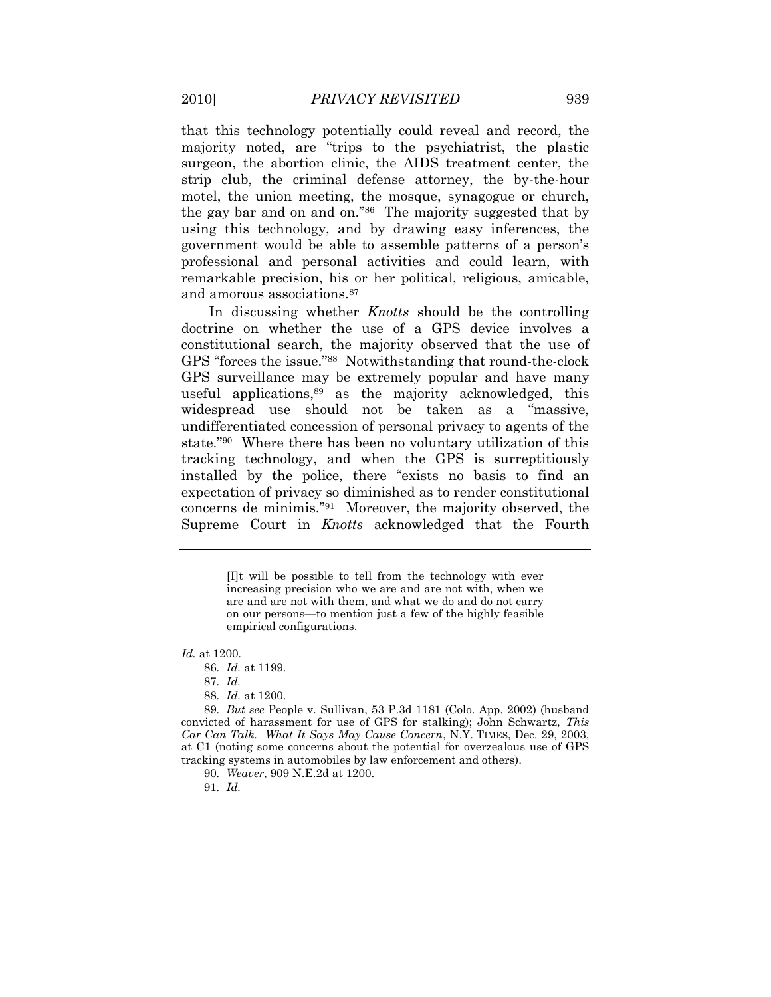that this technology potentially could reveal and record, the majority noted, are "trips to the psychiatrist, the plastic surgeon, the abortion clinic, the AIDS treatment center, the strip club, the criminal defense attorney, the by-the-hour motel, the union meeting, the mosque, synagogue or church, the gay bar and on and on."<sup>86</sup> The majority suggested that by using this technology, and by drawing easy inferences, the government would be able to assemble patterns of a person"s professional and personal activities and could learn, with remarkable precision, his or her political, religious, amicable, and amorous associations.<sup>87</sup>

In discussing whether *Knotts* should be the controlling doctrine on whether the use of a GPS device involves a constitutional search, the majority observed that the use of GPS "forces the issue."<sup>88</sup> Notwithstanding that round-the-clock GPS surveillance may be extremely popular and have many useful applications,<sup>89</sup> as the majority acknowledged, this widespread use should not be taken as a "massive, undifferentiated concession of personal privacy to agents of the state."<sup>90</sup> Where there has been no voluntary utilization of this tracking technology, and when the GPS is surreptitiously installed by the police, there "exists no basis to find an expectation of privacy so diminished as to render constitutional concerns de minimis."<sup>91</sup> Moreover, the majority observed, the Supreme Court in *Knotts* acknowledged that the Fourth

> [I]t will be possible to tell from the technology with ever increasing precision who we are and are not with, when we are and are not with them, and what we do and do not carry on our persons—to mention just a few of the highly feasible empirical configurations.

*Id.* at 1200.

86*. Id.* at 1199.

87*. Id.*

88*. Id.* at 1200.

89*. But see* People v. Sullivan, 53 P.3d 1181 (Colo. App. 2002) (husband convicted of harassment for use of GPS for stalking); John Schwartz, *This Car Can Talk. What It Says May Cause Concern*, N.Y. TIMES, Dec. 29, 2003, at C1 (noting some concerns about the potential for overzealous use of GPS tracking systems in automobiles by law enforcement and others).

90*. Weaver*, 909 N.E.2d at 1200.

91*. Id.*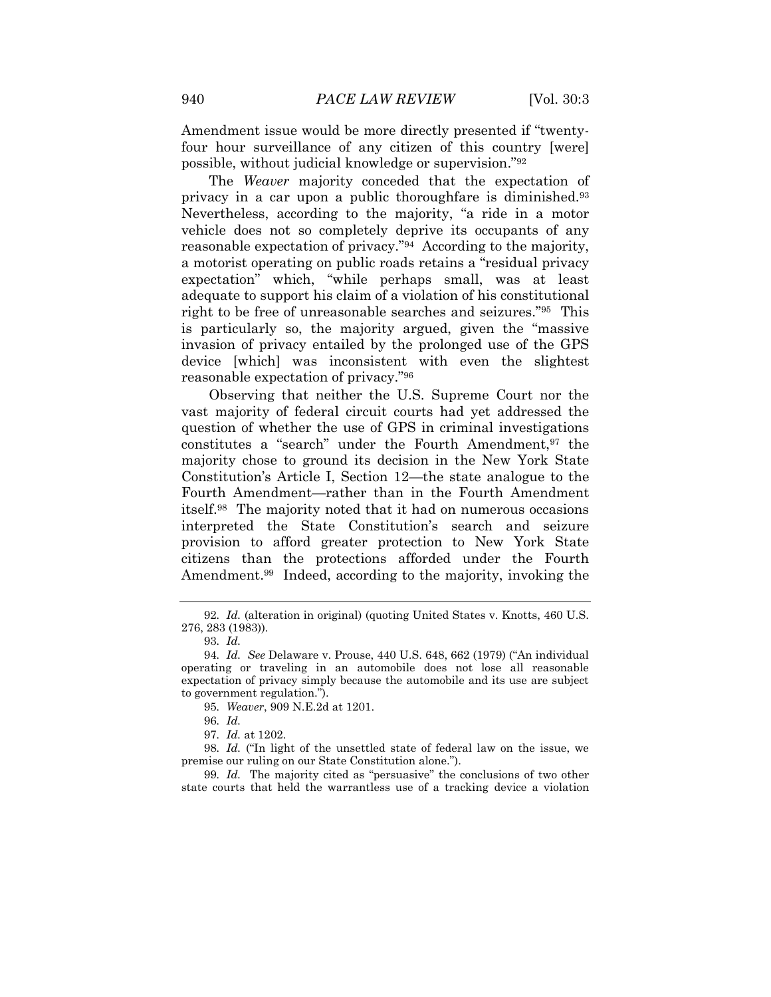Amendment issue would be more directly presented if "twentyfour hour surveillance of any citizen of this country [were] possible, without judicial knowledge or supervision."<sup>92</sup>

The *Weaver* majority conceded that the expectation of privacy in a car upon a public thoroughfare is diminished.<sup>93</sup> Nevertheless, according to the majority, "a ride in a motor vehicle does not so completely deprive its occupants of any reasonable expectation of privacy."<sup>94</sup> According to the majority, a motorist operating on public roads retains a "residual privacy expectation" which, "while perhaps small, was at least adequate to support his claim of a violation of his constitutional right to be free of unreasonable searches and seizures."<sup>95</sup> This is particularly so, the majority argued, given the "massive invasion of privacy entailed by the prolonged use of the GPS device [which] was inconsistent with even the slightest reasonable expectation of privacy."<sup>96</sup>

Observing that neither the U.S. Supreme Court nor the vast majority of federal circuit courts had yet addressed the question of whether the use of GPS in criminal investigations constitutes a "search" under the Fourth Amendment, <sup>97</sup> the majority chose to ground its decision in the New York State Constitution"s Article I, Section 12—the state analogue to the Fourth Amendment—rather than in the Fourth Amendment itself. 98 The majority noted that it had on numerous occasions interpreted the State Constitution"s search and seizure provision to afford greater protection to New York State citizens than the protections afforded under the Fourth Amendment.<sup>99</sup> Indeed, according to the majority, invoking the

95*. Weaver*, 909 N.E.2d at 1201.

96*. Id.*

97*. Id.* at 1202.

98*. Id.* ("In light of the unsettled state of federal law on the issue, we premise our ruling on our State Constitution alone.").

99*. Id.* The majority cited as "persuasive" the conclusions of two other state courts that held the warrantless use of a tracking device a violation

<sup>92</sup>*. Id.* (alteration in original) (quoting United States v. Knotts, 460 U.S. 276, 283 (1983)).

<sup>93</sup>*. Id.*

<sup>94</sup>*. Id. See* Delaware v. Prouse, 440 U.S. 648, 662 (1979) ("An individual operating or traveling in an automobile does not lose all reasonable expectation of privacy simply because the automobile and its use are subject to government regulation.").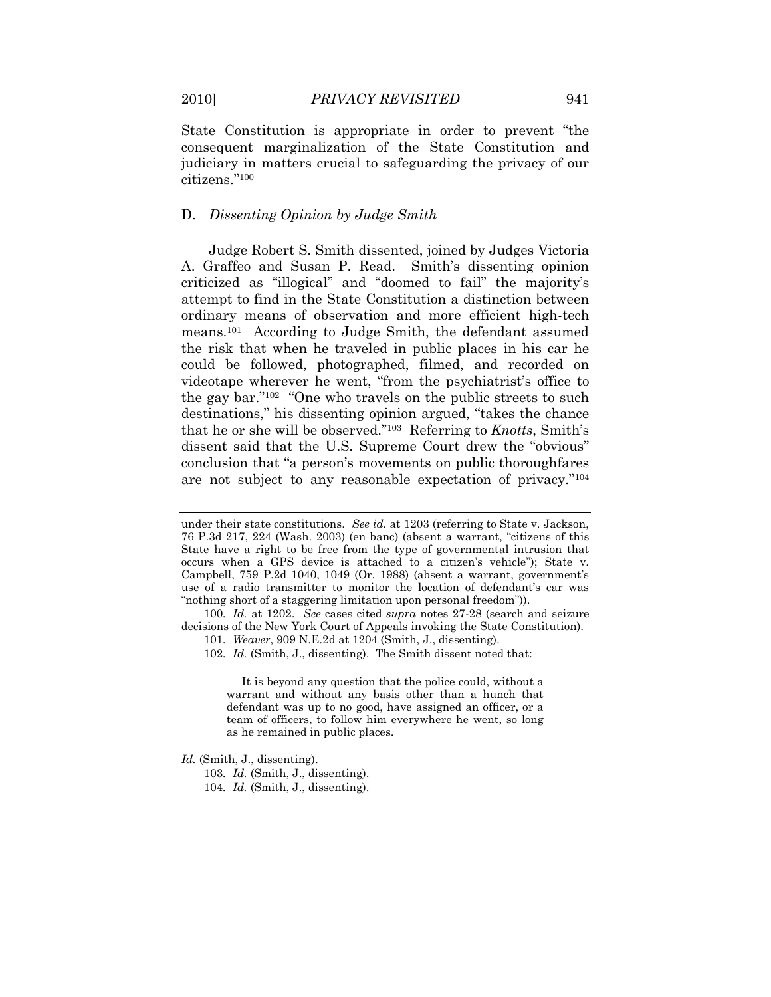State Constitution is appropriate in order to prevent "the consequent marginalization of the State Constitution and judiciary in matters crucial to safeguarding the privacy of our citizens."<sup>100</sup>

#### D. *Dissenting Opinion by Judge Smith*

Judge Robert S. Smith dissented, joined by Judges Victoria A. Graffeo and Susan P. Read. Smith's dissenting opinion criticized as "illogical" and "doomed to fail" the majority"s attempt to find in the State Constitution a distinction between ordinary means of observation and more efficient high-tech means.<sup>101</sup> According to Judge Smith, the defendant assumed the risk that when he traveled in public places in his car he could be followed, photographed, filmed, and recorded on videotape wherever he went, "from the psychiatrist's office to the gay bar."<sup>102</sup> "One who travels on the public streets to such destinations," his dissenting opinion argued, "takes the chance that he or she will be observed."<sup>103</sup> Referring to *Knotts*, Smith's dissent said that the U.S. Supreme Court drew the "obvious" conclusion that "a person's movements on public thoroughfares are not subject to any reasonable expectation of privacy."<sup>104</sup>

It is beyond any question that the police could, without a warrant and without any basis other than a hunch that defendant was up to no good, have assigned an officer, or a team of officers, to follow him everywhere he went, so long as he remained in public places.

*Id.* (Smith, J., dissenting).

under their state constitutions. *See id.* at 1203 (referring to State v. Jackson, 76 P.3d 217, 224 (Wash. 2003) (en banc) (absent a warrant, "citizens of this State have a right to be free from the type of governmental intrusion that occurs when a GPS device is attached to a citizen"s vehicle"); State v. Campbell, 759 P.2d 1040, 1049 (Or. 1988) (absent a warrant, government"s use of a radio transmitter to monitor the location of defendant's car was "nothing short of a staggering limitation upon personal freedom")).

<sup>100</sup>*. Id.* at 1202. *See* cases cited *supra* notes 27-28 (search and seizure decisions of the New York Court of Appeals invoking the State Constitution).

<sup>101</sup>*. Weaver*, 909 N.E.2d at 1204 (Smith, J., dissenting).

<sup>102</sup>*. Id.* (Smith, J., dissenting). The Smith dissent noted that:

<sup>103</sup>*. Id.* (Smith, J., dissenting).

<sup>104</sup>*. Id.* (Smith, J., dissenting).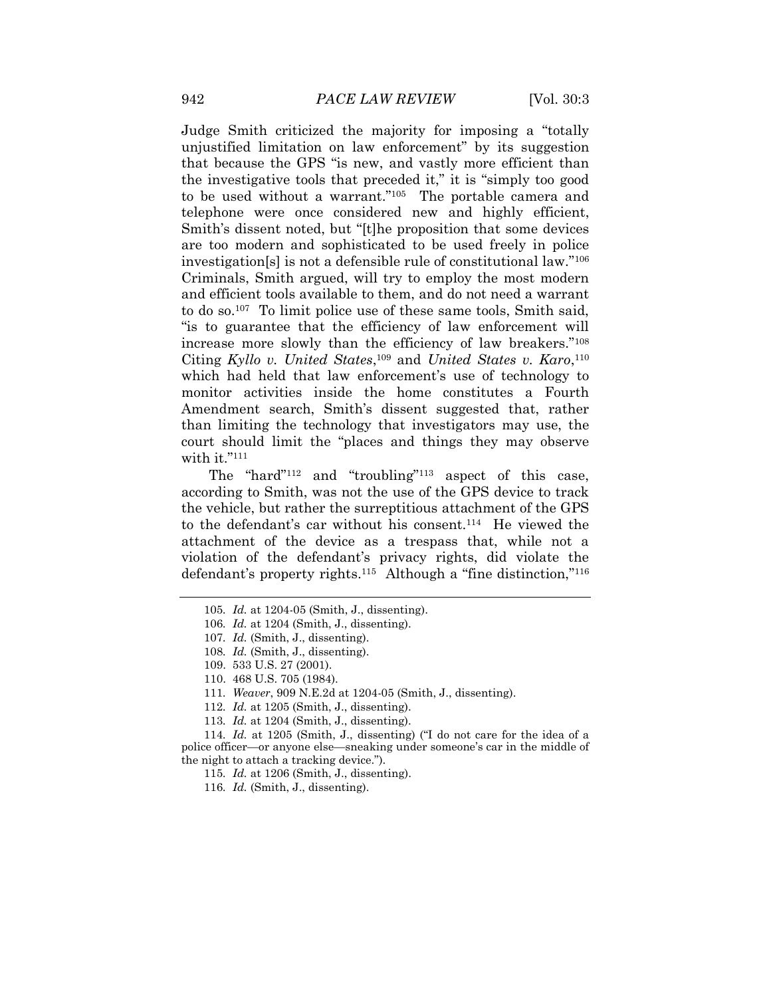Judge Smith criticized the majority for imposing a "totally unjustified limitation on law enforcement" by its suggestion that because the GPS "is new, and vastly more efficient than the investigative tools that preceded it," it is "simply too good to be used without a warrant."<sup>105</sup> The portable camera and telephone were once considered new and highly efficient, Smith's dissent noted, but "[t]he proposition that some devices are too modern and sophisticated to be used freely in police investigation[s] is not a defensible rule of constitutional law."<sup>106</sup> Criminals, Smith argued, will try to employ the most modern and efficient tools available to them, and do not need a warrant to do so.<sup>107</sup> To limit police use of these same tools, Smith said, "is to guarantee that the efficiency of law enforcement will increase more slowly than the efficiency of law breakers."<sup>108</sup> Citing *Kyllo v. United States*, <sup>109</sup> and *United States v. Karo*, 110 which had held that law enforcement's use of technology to monitor activities inside the home constitutes a Fourth Amendment search, Smith's dissent suggested that, rather than limiting the technology that investigators may use, the court should limit the "places and things they may observe with it."<sup>111</sup>

The "hard"<sup>112</sup> and "troubling"<sup>113</sup> aspect of this case, according to Smith, was not the use of the GPS device to track the vehicle, but rather the surreptitious attachment of the GPS to the defendant's car without his consent.<sup>114</sup> He viewed the attachment of the device as a trespass that, while not a violation of the defendant"s privacy rights, did violate the defendant's property rights.<sup>115</sup> Although a "fine distinction,"<sup>116</sup>

116*. Id.* (Smith, J., dissenting).

<sup>105</sup>*. Id.* at 1204-05 (Smith, J., dissenting).

<sup>106</sup>*. Id.* at 1204 (Smith, J., dissenting).

<sup>107</sup>*. Id.* (Smith, J., dissenting).

<sup>108</sup>*. Id.* (Smith, J., dissenting).

<sup>109.</sup> 533 U.S. 27 (2001).

<sup>110.</sup> 468 U.S. 705 (1984).

<sup>111</sup>*. Weaver*, 909 N.E.2d at 1204-05 (Smith, J., dissenting).

<sup>112</sup>*. Id.* at 1205 (Smith, J., dissenting).

<sup>113</sup>*. Id.* at 1204 (Smith, J., dissenting).

<sup>114</sup>*. Id.* at 1205 (Smith, J., dissenting) ("I do not care for the idea of a police officer—or anyone else—sneaking under someone's car in the middle of the night to attach a tracking device.").

<sup>115</sup>*. Id.* at 1206 (Smith, J., dissenting).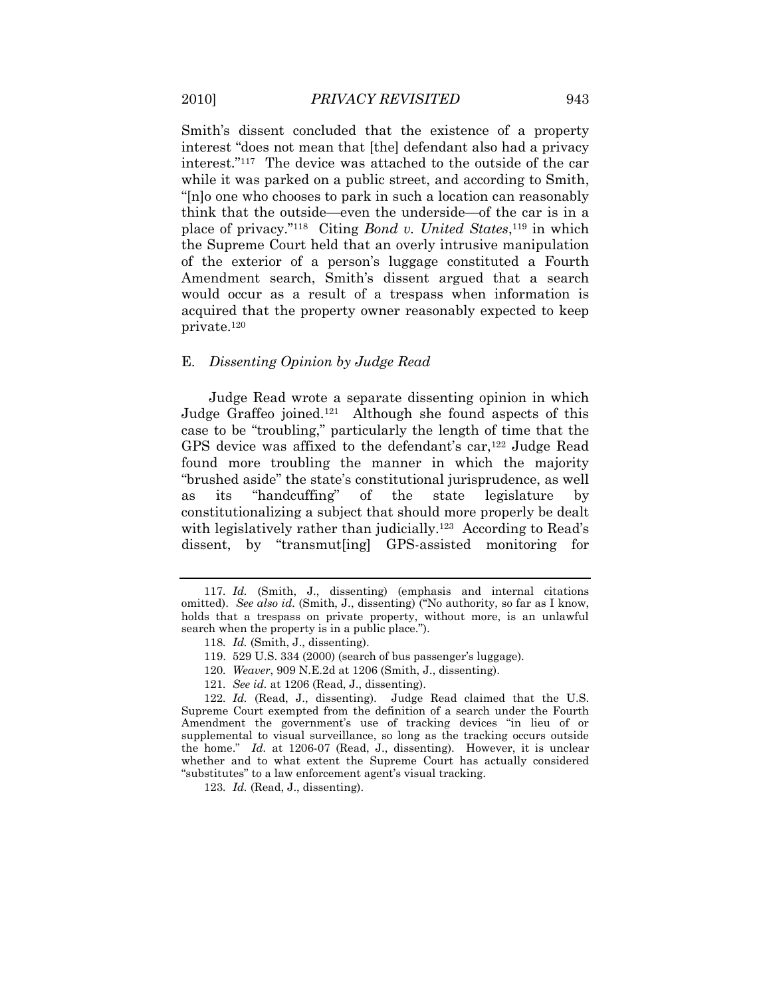Smith's dissent concluded that the existence of a property interest "does not mean that [the] defendant also had a privacy interest."<sup>117</sup> The device was attached to the outside of the car while it was parked on a public street, and according to Smith, "[n]o one who chooses to park in such a location can reasonably think that the outside—even the underside—of the car is in a place of privacy."<sup>118</sup> Citing *Bond v. United States*, <sup>119</sup> in which the Supreme Court held that an overly intrusive manipulation of the exterior of a person"s luggage constituted a Fourth Amendment search, Smith's dissent argued that a search would occur as a result of a trespass when information is acquired that the property owner reasonably expected to keep private.<sup>120</sup>

#### E. *Dissenting Opinion by Judge Read*

Judge Read wrote a separate dissenting opinion in which Judge Graffeo joined.<sup>121</sup> Although she found aspects of this case to be "troubling," particularly the length of time that the GPS device was affixed to the defendant's car,<sup>122</sup> Judge Read found more troubling the manner in which the majority "brushed aside" the state"s constitutional jurisprudence, as well as its "handcuffing" of the state legislature by constitutionalizing a subject that should more properly be dealt with legislatively rather than judicially.<sup>123</sup> According to Read's dissent, by "transmut[ing] GPS-assisted monitoring for

- 120*. Weaver*, 909 N.E.2d at 1206 (Smith, J., dissenting).
- 121*. See id.* at 1206 (Read, J., dissenting).

<sup>117</sup>*. Id.* (Smith, J., dissenting) (emphasis and internal citations omitted). *See also id.* (Smith, J., dissenting) ("No authority, so far as I know, holds that a trespass on private property, without more, is an unlawful search when the property is in a public place.").

<sup>118</sup>*. Id.* (Smith, J., dissenting).

<sup>119. 529</sup> U.S. 334 (2000) (search of bus passenger's luggage).

<sup>122</sup>*. Id.* (Read, J., dissenting). Judge Read claimed that the U.S. Supreme Court exempted from the definition of a search under the Fourth Amendment the government"s use of tracking devices "in lieu of or supplemental to visual surveillance, so long as the tracking occurs outside the home." *Id.* at 1206-07 (Read, J., dissenting). However, it is unclear whether and to what extent the Supreme Court has actually considered "substitutes" to a law enforcement agent's visual tracking.

<sup>123</sup>*. Id.* (Read, J., dissenting).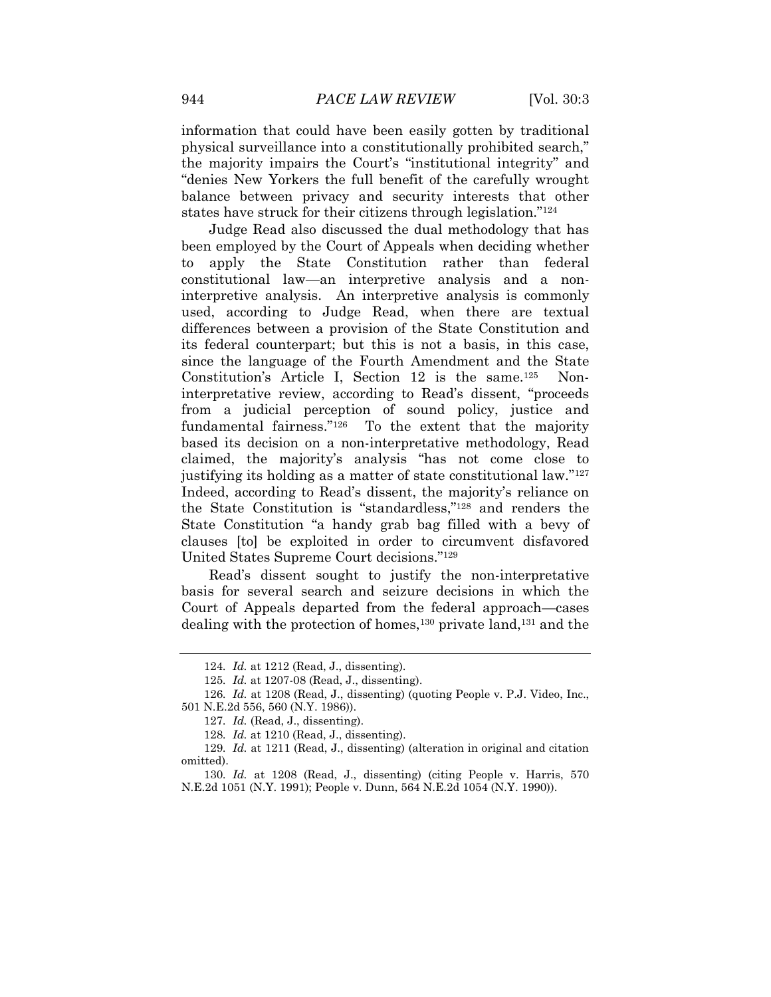information that could have been easily gotten by traditional physical surveillance into a constitutionally prohibited search," the majority impairs the Court's "institutional integrity" and "denies New Yorkers the full benefit of the carefully wrought

balance between privacy and security interests that other states have struck for their citizens through legislation."<sup>124</sup>

Judge Read also discussed the dual methodology that has been employed by the Court of Appeals when deciding whether to apply the State Constitution rather than federal constitutional law—an interpretive analysis and a noninterpretive analysis. An interpretive analysis is commonly used, according to Judge Read, when there are textual differences between a provision of the State Constitution and its federal counterpart; but this is not a basis, in this case, since the language of the Fourth Amendment and the State Constitution's Article I, Section 12 is the same.<sup>125</sup> Noninterpretative review, according to Read"s dissent, "proceeds from a judicial perception of sound policy, justice and fundamental fairness."<sup>126</sup> To the extent that the majority based its decision on a non-interpretative methodology, Read claimed, the majority"s analysis "has not come close to justifying its holding as a matter of state constitutional law."<sup>127</sup> Indeed, according to Read's dissent, the majority's reliance on the State Constitution is "standardless,"<sup>128</sup> and renders the State Constitution "a handy grab bag filled with a bevy of clauses [to] be exploited in order to circumvent disfavored United States Supreme Court decisions."<sup>129</sup>

Read"s dissent sought to justify the non-interpretative basis for several search and seizure decisions in which the Court of Appeals departed from the federal approach—cases dealing with the protection of homes,<sup>130</sup> private land,<sup>131</sup> and the

<sup>124</sup>*. Id.* at 1212 (Read, J., dissenting).

<sup>125</sup>*. Id.* at 1207-08 (Read, J., dissenting).

<sup>126</sup>*. Id.* at 1208 (Read, J., dissenting) (quoting People v. P.J. Video, Inc., 501 N.E.2d 556, 560 (N.Y. 1986)).

<sup>127</sup>*. Id.* (Read, J., dissenting).

<sup>128</sup>*. Id.* at 1210 (Read, J., dissenting).

<sup>129</sup>*. Id.* at 1211 (Read, J., dissenting) (alteration in original and citation omitted).

<sup>130</sup>*. Id.* at 1208 (Read, J., dissenting) (citing People v. Harris, 570 N.E.2d 1051 (N.Y. 1991); People v. Dunn, 564 N.E.2d 1054 (N.Y. 1990)).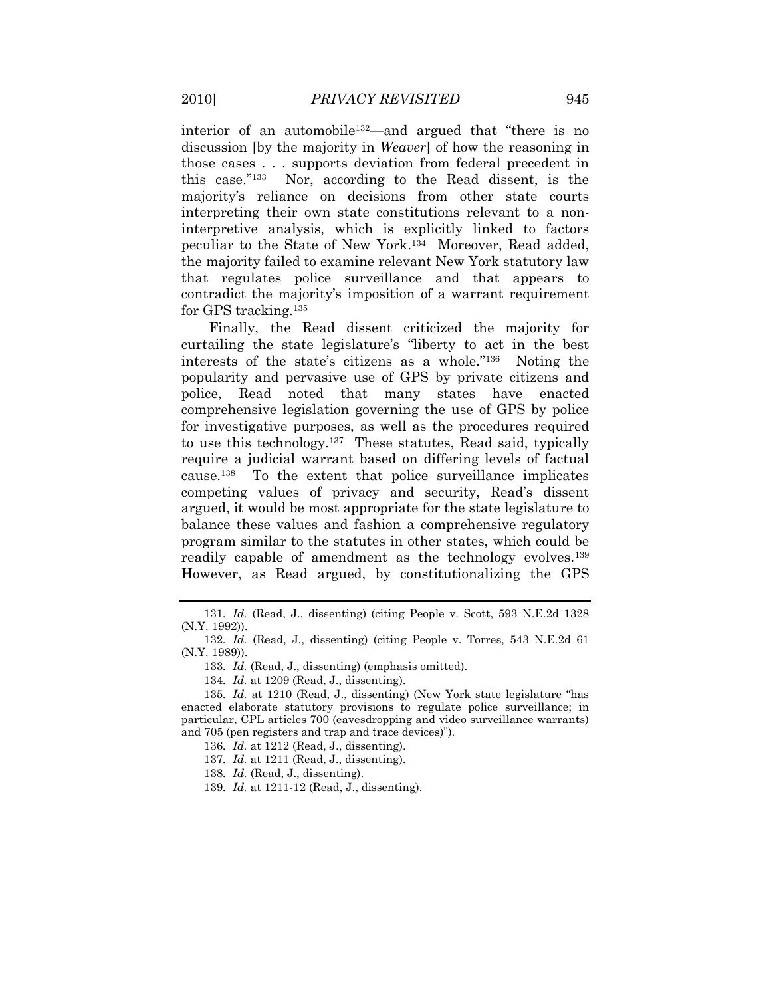interior of an automobile132—and argued that "there is no discussion [by the majority in *Weaver*] of how the reasoning in those cases . . . supports deviation from federal precedent in this case."<sup>133</sup> Nor, according to the Read dissent, is the majority"s reliance on decisions from other state courts interpreting their own state constitutions relevant to a noninterpretive analysis, which is explicitly linked to factors peculiar to the State of New York.<sup>134</sup> Moreover, Read added, the majority failed to examine relevant New York statutory law that regulates police surveillance and that appears to contradict the majority's imposition of a warrant requirement for GPS tracking.<sup>135</sup>

Finally, the Read dissent criticized the majority for curtailing the state legislature's "liberty to act in the best interests of the state's citizens as a whole."<sup>136</sup> Noting the popularity and pervasive use of GPS by private citizens and police, Read noted that many states have enacted comprehensive legislation governing the use of GPS by police for investigative purposes, as well as the procedures required to use this technology.<sup>137</sup> These statutes, Read said, typically require a judicial warrant based on differing levels of factual cause.<sup>138</sup> To the extent that police surveillance implicates competing values of privacy and security, Read's dissent argued, it would be most appropriate for the state legislature to balance these values and fashion a comprehensive regulatory program similar to the statutes in other states, which could be readily capable of amendment as the technology evolves.<sup>139</sup> However, as Read argued, by constitutionalizing the GPS

<sup>131</sup>*. Id.* (Read, J., dissenting) (citing People v. Scott, 593 N.E.2d 1328 (N.Y. 1992)).

<sup>132</sup>*. Id.* (Read, J., dissenting) (citing People v. Torres, 543 N.E.2d 61 (N.Y. 1989)).

<sup>133</sup>*. Id.* (Read, J., dissenting) (emphasis omitted).

<sup>134</sup>*. Id.* at 1209 (Read, J., dissenting).

<sup>135</sup>*. Id.* at 1210 (Read, J., dissenting) (New York state legislature "has enacted elaborate statutory provisions to regulate police surveillance; in particular, CPL articles 700 (eavesdropping and video surveillance warrants) and 705 (pen registers and trap and trace devices)").

<sup>136</sup>*. Id.* at 1212 (Read, J., dissenting).

<sup>137</sup>*. Id.* at 1211 (Read, J., dissenting).

<sup>138</sup>*. Id.* (Read, J., dissenting).

<sup>139</sup>*. Id.* at 1211-12 (Read, J., dissenting).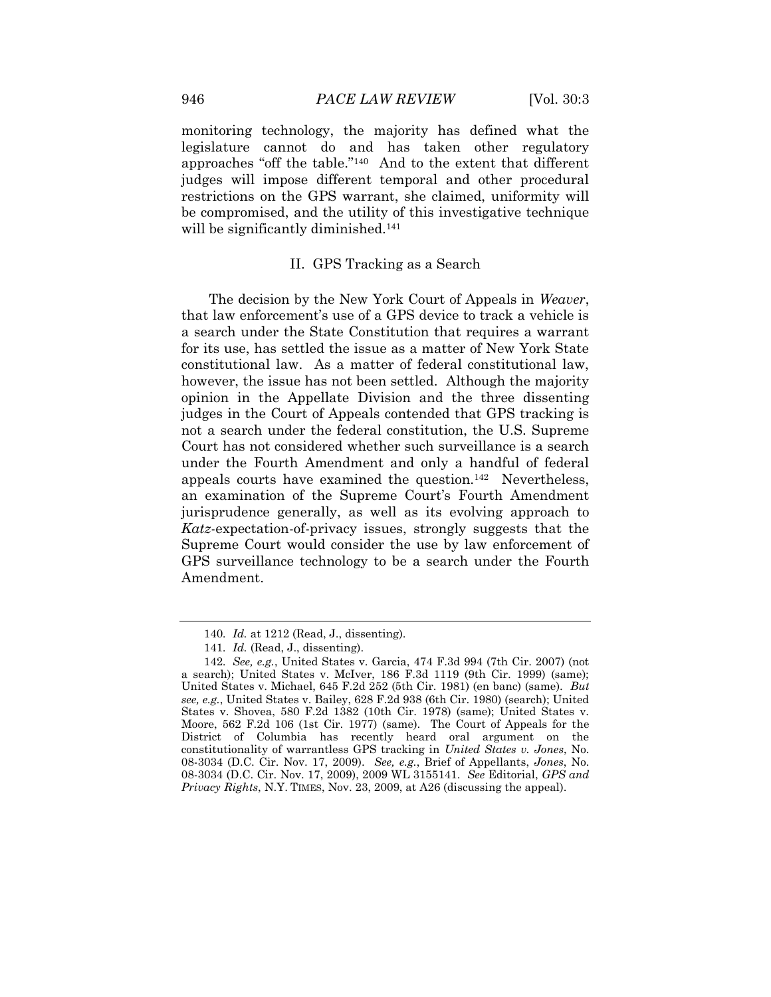monitoring technology, the majority has defined what the legislature cannot do and has taken other regulatory approaches "off the table."<sup>140</sup> And to the extent that different judges will impose different temporal and other procedural restrictions on the GPS warrant, she claimed, uniformity will be compromised, and the utility of this investigative technique will be significantly diminished.<sup>141</sup>

#### II. GPS Tracking as a Search

The decision by the New York Court of Appeals in *Weaver*, that law enforcement"s use of a GPS device to track a vehicle is a search under the State Constitution that requires a warrant for its use, has settled the issue as a matter of New York State constitutional law. As a matter of federal constitutional law, however, the issue has not been settled. Although the majority opinion in the Appellate Division and the three dissenting judges in the Court of Appeals contended that GPS tracking is not a search under the federal constitution, the U.S. Supreme Court has not considered whether such surveillance is a search under the Fourth Amendment and only a handful of federal appeals courts have examined the question.<sup>142</sup> Nevertheless, an examination of the Supreme Court's Fourth Amendment jurisprudence generally, as well as its evolving approach to *Katz*-expectation-of-privacy issues, strongly suggests that the Supreme Court would consider the use by law enforcement of GPS surveillance technology to be a search under the Fourth Amendment.

<sup>140</sup>*. Id.* at 1212 (Read, J., dissenting).

<sup>141</sup>*. Id.* (Read, J., dissenting).

<sup>142</sup>*. See, e.g.*, United States v. Garcia, 474 F.3d 994 (7th Cir. 2007) (not a search); United States v. McIver, 186 F.3d 1119 (9th Cir. 1999) (same); United States v. Michael, 645 F.2d 252 (5th Cir. 1981) (en banc) (same). *But see, e.g.*, United States v. Bailey, 628 F.2d 938 (6th Cir. 1980) (search); United States v. Shovea, 580 F.2d 1382 (10th Cir. 1978) (same); United States v. Moore, 562 F.2d 106 (1st Cir. 1977) (same). The Court of Appeals for the District of Columbia has recently heard oral argument on the constitutionality of warrantless GPS tracking in *United States v. Jones*, No. 08-3034 (D.C. Cir. Nov. 17, 2009). *See, e.g.*, Brief of Appellants, *Jones*, No. 08-3034 (D.C. Cir. Nov. 17, 2009), 2009 WL 3155141. *See* Editorial, *GPS and Privacy Rights*, N.Y. TIMES, Nov. 23, 2009, at A26 (discussing the appeal).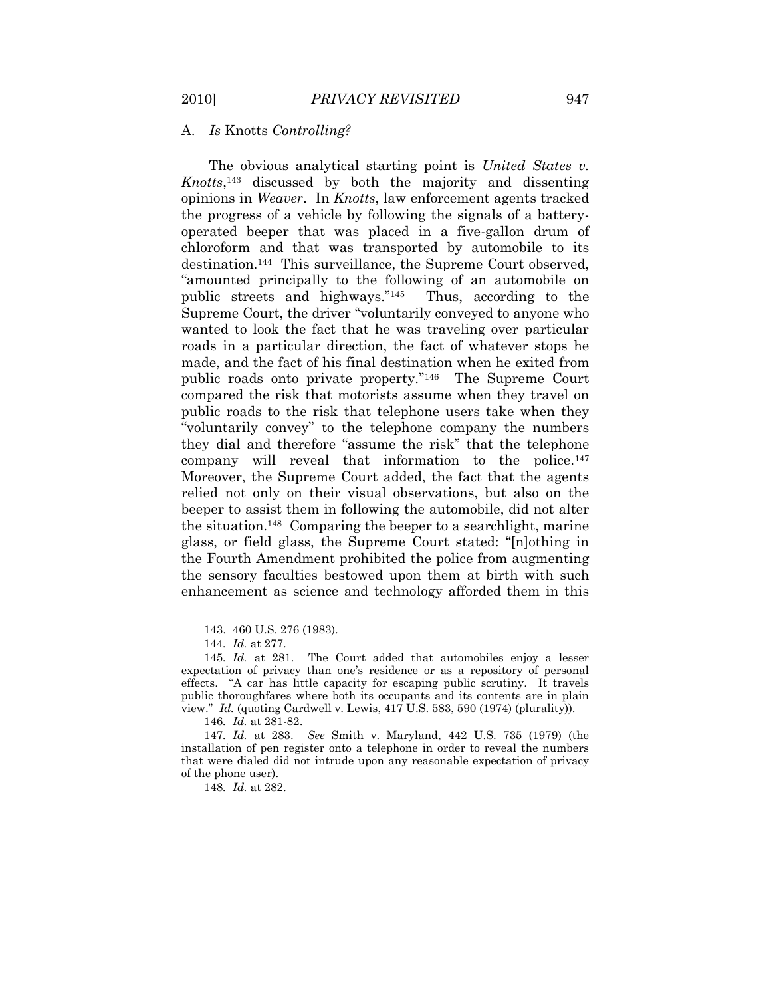# A. *Is* Knotts *Controlling?*

The obvious analytical starting point is *United States v. Knotts*, <sup>143</sup> discussed by both the majority and dissenting opinions in *Weaver*.In *Knotts*, law enforcement agents tracked the progress of a vehicle by following the signals of a batteryoperated beeper that was placed in a five-gallon drum of chloroform and that was transported by automobile to its destination.<sup>144</sup> This surveillance, the Supreme Court observed, "amounted principally to the following of an automobile on public streets and highways."<sup>145</sup> Thus, according to the Supreme Court, the driver "voluntarily conveyed to anyone who wanted to look the fact that he was traveling over particular roads in a particular direction, the fact of whatever stops he made, and the fact of his final destination when he exited from public roads onto private property."<sup>146</sup> The Supreme Court compared the risk that motorists assume when they travel on public roads to the risk that telephone users take when they "voluntarily convey" to the telephone company the numbers they dial and therefore "assume the risk" that the telephone company will reveal that information to the police.<sup>147</sup> Moreover, the Supreme Court added, the fact that the agents relied not only on their visual observations, but also on the beeper to assist them in following the automobile, did not alter the situation.<sup>148</sup> Comparing the beeper to a searchlight, marine glass, or field glass, the Supreme Court stated: "[n]othing in the Fourth Amendment prohibited the police from augmenting the sensory faculties bestowed upon them at birth with such enhancement as science and technology afforded them in this

<sup>143.</sup> 460 U.S. 276 (1983).

<sup>144</sup>*. Id.* at 277.

<sup>145</sup>*. Id.* at 281. The Court added that automobiles enjoy a lesser expectation of privacy than one"s residence or as a repository of personal effects. "A car has little capacity for escaping public scrutiny. It travels public thoroughfares where both its occupants and its contents are in plain view." *Id.* (quoting Cardwell v. Lewis, 417 U.S. 583, 590 (1974) (plurality)).

<sup>146</sup>*. Id.* at 281-82.

<sup>147</sup>*. Id.* at 283. *See* Smith v. Maryland, 442 U.S. 735 (1979) (the installation of pen register onto a telephone in order to reveal the numbers that were dialed did not intrude upon any reasonable expectation of privacy of the phone user).

<sup>148</sup>*. Id.* at 282.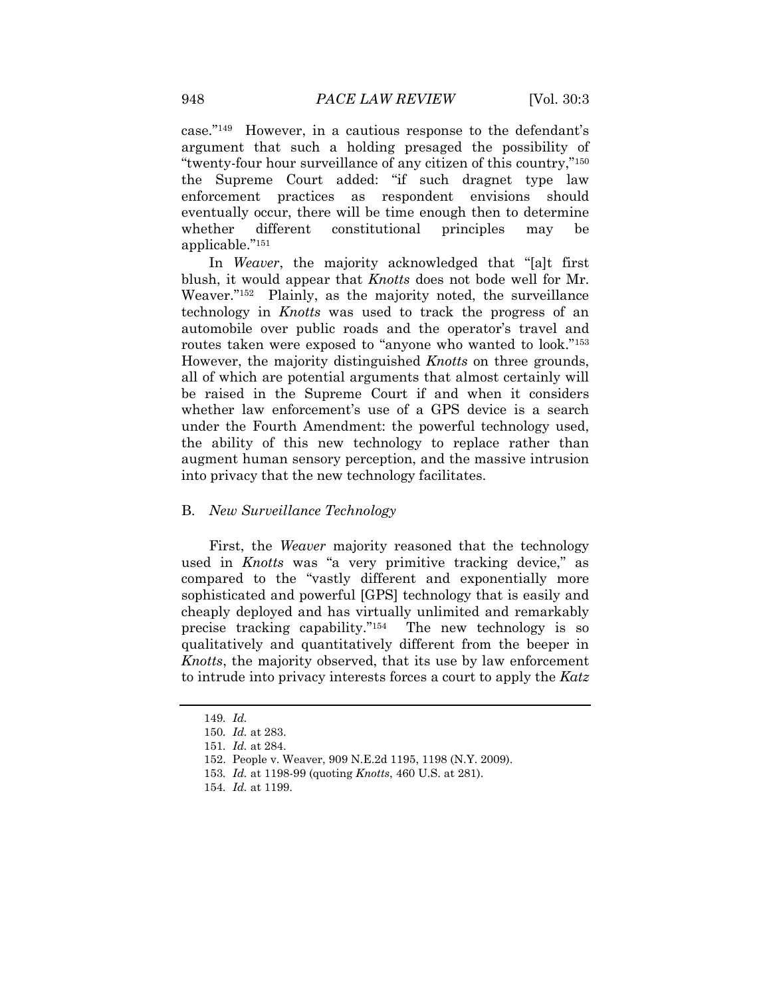case."<sup>149</sup> However, in a cautious response to the defendant's argument that such a holding presaged the possibility of "twenty-four hour surveillance of any citizen of this country,"<sup>150</sup> the Supreme Court added: "if such dragnet type law enforcement practices as respondent envisions should eventually occur, there will be time enough then to determine whether different constitutional principles may be applicable."<sup>151</sup>

In *Weaver*, the majority acknowledged that "[a]t first blush, it would appear that *Knotts* does not bode well for Mr. Weaver."<sup>152</sup> Plainly, as the majority noted, the surveillance technology in *Knotts* was used to track the progress of an automobile over public roads and the operator's travel and routes taken were exposed to "anyone who wanted to look."<sup>153</sup> However, the majority distinguished *Knotts* on three grounds, all of which are potential arguments that almost certainly will be raised in the Supreme Court if and when it considers whether law enforcement's use of a GPS device is a search under the Fourth Amendment: the powerful technology used, the ability of this new technology to replace rather than augment human sensory perception, and the massive intrusion into privacy that the new technology facilitates.

## B. *New Surveillance Technology*

First, the *Weaver* majority reasoned that the technology used in *Knotts* was "a very primitive tracking device," as compared to the "vastly different and exponentially more sophisticated and powerful [GPS] technology that is easily and cheaply deployed and has virtually unlimited and remarkably precise tracking capability."<sup>154</sup> The new technology is so qualitatively and quantitatively different from the beeper in *Knotts*, the majority observed, that its use by law enforcement to intrude into privacy interests forces a court to apply the *Katz*

153*. Id.* at 1198-99 (quoting *Knotts*, 460 U.S. at 281).

<sup>149</sup>*. Id.*

<sup>150</sup>*. Id.* at 283.

<sup>151</sup>*. Id.* at 284.

<sup>152.</sup> People v. Weaver, 909 N.E.2d 1195, 1198 (N.Y. 2009).

<sup>154</sup>*. Id.* at 1199.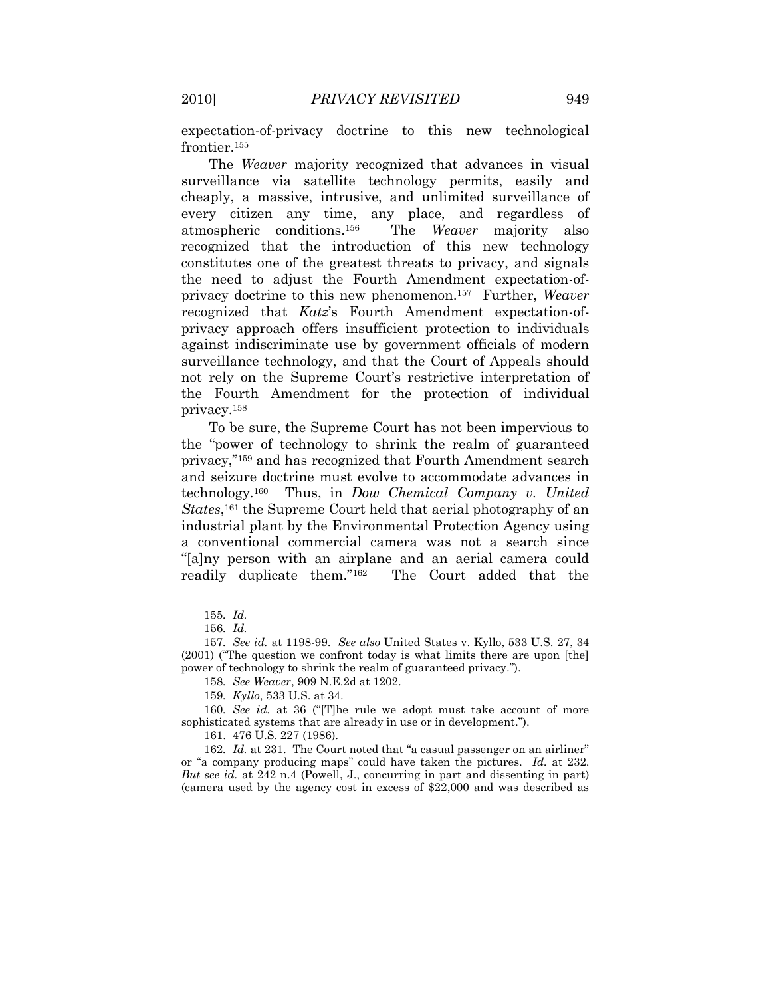expectation-of-privacy doctrine to this new technological frontier.<sup>155</sup>

The *Weaver* majority recognized that advances in visual surveillance via satellite technology permits, easily and cheaply, a massive, intrusive, and unlimited surveillance of every citizen any time, any place, and regardless of atmospheric conditions.<sup>156</sup> The *Weaver* majority also recognized that the introduction of this new technology constitutes one of the greatest threats to privacy, and signals the need to adjust the Fourth Amendment expectation-ofprivacy doctrine to this new phenomenon.<sup>157</sup> Further, *Weaver*  recognized that *Katz*'s Fourth Amendment expectation-ofprivacy approach offers insufficient protection to individuals against indiscriminate use by government officials of modern surveillance technology, and that the Court of Appeals should not rely on the Supreme Court's restrictive interpretation of the Fourth Amendment for the protection of individual privacy.<sup>158</sup>

To be sure, the Supreme Court has not been impervious to the "power of technology to shrink the realm of guaranteed privacy,"<sup>159</sup> and has recognized that Fourth Amendment search and seizure doctrine must evolve to accommodate advances in technology.<sup>160</sup> Thus, in *Dow Chemical Company v. United States*, <sup>161</sup> the Supreme Court held that aerial photography of an industrial plant by the Environmental Protection Agency using a conventional commercial camera was not a search since "[a]ny person with an airplane and an aerial camera could readily duplicate them."<sup>162</sup> The Court added that the

161. 476 U.S. 227 (1986).

162*. Id.* at 231. The Court noted that "a casual passenger on an airliner" or "a company producing maps" could have taken the pictures. *Id.* at 232. *But see id.* at 242 n.4 (Powell, J., concurring in part and dissenting in part) (camera used by the agency cost in excess of \$22,000 and was described as

<sup>155</sup>*. Id.*

<sup>156</sup>*. Id.*

<sup>157</sup>*. See id.* at 1198-99. *See also* United States v. Kyllo, 533 U.S. 27, 34 (2001) ("The question we confront today is what limits there are upon [the] power of technology to shrink the realm of guaranteed privacy.").

<sup>158</sup>*. See Weaver*, 909 N.E.2d at 1202.

<sup>159</sup>*. Kyllo*, 533 U.S. at 34.

<sup>160</sup>*. See id.* at 36 ("[T]he rule we adopt must take account of more sophisticated systems that are already in use or in development.").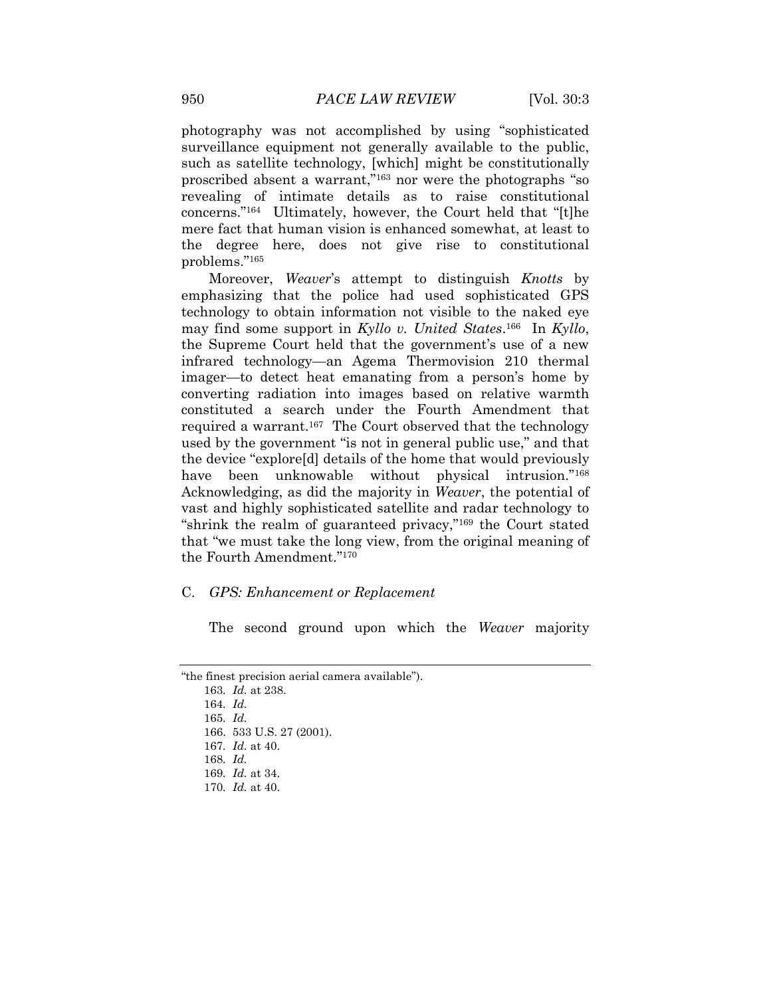photography was not accomplished by using "sophisticated surveillance equipment not generally available to the public, such as satellite technology, [which] might be constitutionally proscribed absent a warrant,"<sup>163</sup> nor were the photographs "so revealing of intimate details as to raise constitutional concerns."<sup>164</sup> Ultimately, however, the Court held that "[t]he mere fact that human vision is enhanced somewhat, at least to the degree here, does not give rise to constitutional problems."<sup>165</sup>

Moreover, *Weaver*"s attempt to distinguish *Knotts* by emphasizing that the police had used sophisticated GPS technology to obtain information not visible to the naked eye may find some support in *Kyllo v. United States*. 166 In *Kyllo*, the Supreme Court held that the government's use of a new infrared technology—an Agema Thermovision 210 thermal imager—to detect heat emanating from a person's home by converting radiation into images based on relative warmth constituted a search under the Fourth Amendment that required a warrant.<sup>167</sup> The Court observed that the technology used by the government "is not in general public use," and that the device "explore[d] details of the home that would previously have been unknowable without physical intrusion."<sup>168</sup> Acknowledging, as did the majority in *Weaver*, the potential of vast and highly sophisticated satellite and radar technology to "shrink the realm of guaranteed privacy,"<sup>169</sup> the Court stated that "we must take the long view, from the original meaning of the Fourth Amendment."<sup>170</sup>

#### C. *GPS: Enhancement or Replacement*

The second ground upon which the *Weaver* majority

163*. Id.* at 238. 164*. Id.* 165*. Id.* 166. 533 U.S. 27 (2001). 167*. Id.* at 40. 168*. Id.* 169*. Id.* at 34. 170*. Id.* at 40.

<sup>&</sup>quot;the finest precision aerial camera available").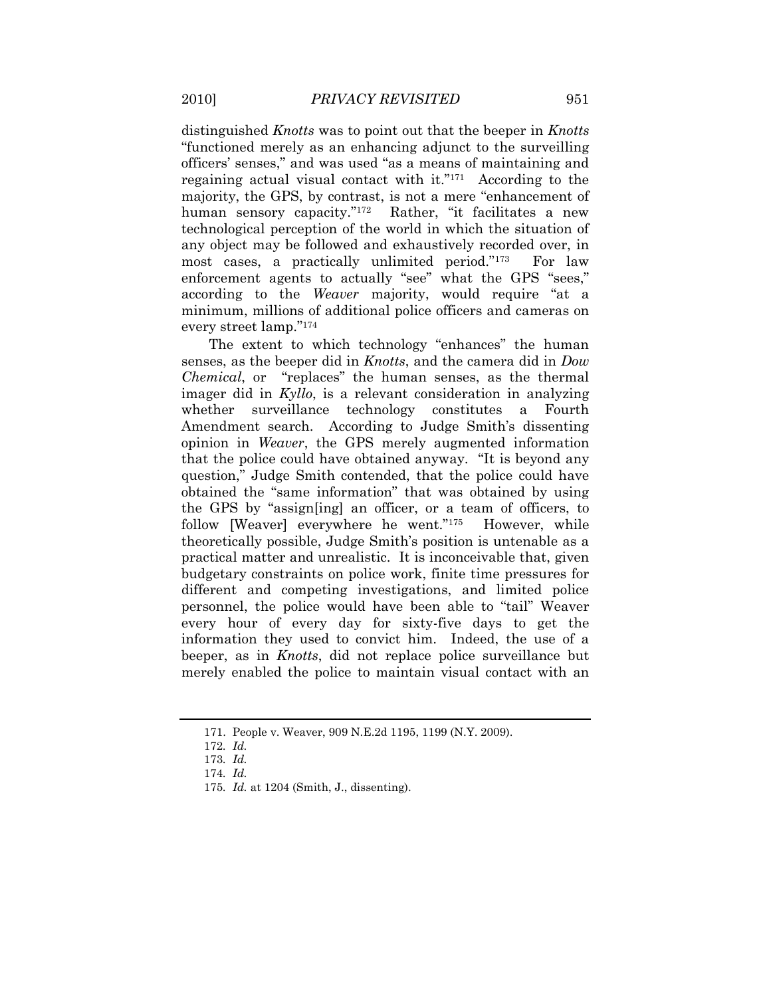distinguished *Knotts* was to point out that the beeper in *Knotts*  "functioned merely as an enhancing adjunct to the surveilling officers" senses," and was used "as a means of maintaining and regaining actual visual contact with it."<sup>171</sup> According to the majority, the GPS, by contrast, is not a mere "enhancement of human sensory capacity."<sup>172</sup> Rather, "it facilitates a new technological perception of the world in which the situation of any object may be followed and exhaustively recorded over, in most cases, a practically unlimited period."<sup>173</sup> For law enforcement agents to actually "see" what the GPS "sees," according to the *Weaver* majority, would require "at a minimum, millions of additional police officers and cameras on every street lamp."<sup>174</sup>

The extent to which technology "enhances" the human senses, as the beeper did in *Knotts*, and the camera did in *Dow Chemical*, or "replaces" the human senses, as the thermal imager did in *Kyllo*, is a relevant consideration in analyzing whether surveillance technology constitutes a Fourth Amendment search. According to Judge Smith's dissenting opinion in *Weaver*, the GPS merely augmented information that the police could have obtained anyway. "It is beyond any question," Judge Smith contended, that the police could have obtained the "same information" that was obtained by using the GPS by "assign[ing] an officer, or a team of officers, to follow [Weaver] everywhere he went."<sup>175</sup> However, while theoretically possible, Judge Smith"s position is untenable as a practical matter and unrealistic. It is inconceivable that, given budgetary constraints on police work, finite time pressures for different and competing investigations, and limited police personnel, the police would have been able to "tail" Weaver every hour of every day for sixty-five days to get the information they used to convict him. Indeed, the use of a beeper, as in *Knotts*, did not replace police surveillance but merely enabled the police to maintain visual contact with an

<sup>171.</sup> People v. Weaver, 909 N.E.2d 1195, 1199 (N.Y. 2009).

<sup>172</sup>*. Id.*

<sup>173</sup>*. Id.*

<sup>174</sup>*. Id.*

<sup>175</sup>*. Id.* at 1204 (Smith, J., dissenting).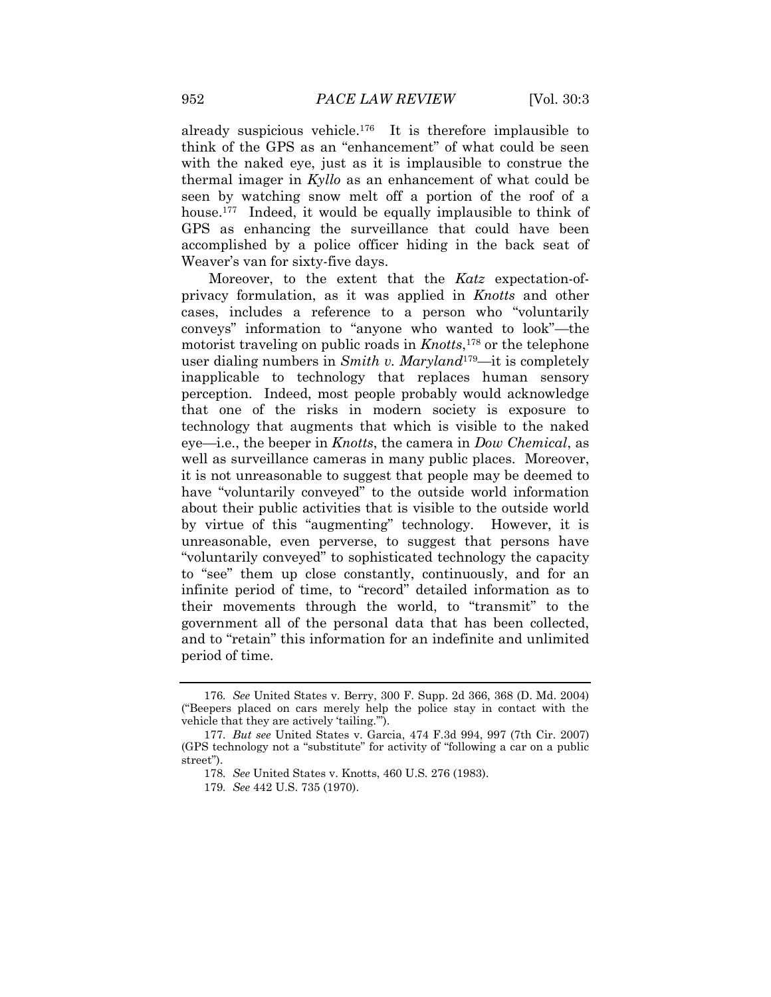already suspicious vehicle.<sup>176</sup> It is therefore implausible to think of the GPS as an "enhancement" of what could be seen with the naked eye, just as it is implausible to construe the thermal imager in *Kyllo* as an enhancement of what could be seen by watching snow melt off a portion of the roof of a house.<sup>177</sup> Indeed, it would be equally implausible to think of GPS as enhancing the surveillance that could have been accomplished by a police officer hiding in the back seat of Weaver's van for sixty-five days.

Moreover, to the extent that the *Katz* expectation-ofprivacy formulation, as it was applied in *Knotts* and other cases, includes a reference to a person who "voluntarily conveys" information to "anyone who wanted to look"—the motorist traveling on public roads in *Knotts*, <sup>178</sup> or the telephone user dialing numbers in *Smith v. Maryland*179—it is completely inapplicable to technology that replaces human sensory perception. Indeed, most people probably would acknowledge that one of the risks in modern society is exposure to technology that augments that which is visible to the naked eye—i.e., the beeper in *Knotts*, the camera in *Dow Chemical*, as well as surveillance cameras in many public places. Moreover, it is not unreasonable to suggest that people may be deemed to have "voluntarily conveyed" to the outside world information about their public activities that is visible to the outside world by virtue of this "augmenting" technology. However, it is unreasonable, even perverse, to suggest that persons have "voluntarily conveyed" to sophisticated technology the capacity to "see" them up close constantly, continuously, and for an infinite period of time, to "record" detailed information as to their movements through the world, to "transmit" to the government all of the personal data that has been collected, and to "retain" this information for an indefinite and unlimited period of time.

<sup>176</sup>*. See* United States v. Berry, 300 F. Supp. 2d 366, 368 (D. Md. 2004) ("Beepers placed on cars merely help the police stay in contact with the vehicle that they are actively 'tailing."").

<sup>177</sup>*. But see* United States v. Garcia, 474 F.3d 994, 997 (7th Cir. 2007) (GPS technology not a "substitute" for activity of "following a car on a public street").

<sup>178</sup>*. See* United States v. Knotts, 460 U.S. 276 (1983).

<sup>179</sup>*. See* 442 U.S. 735 (1970).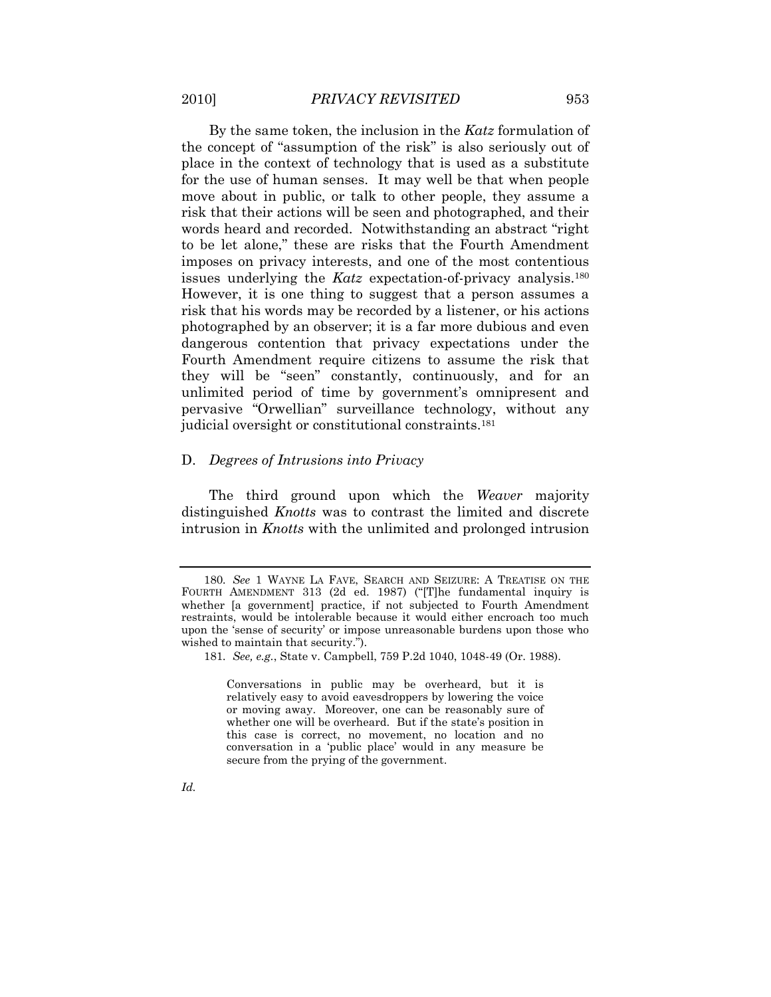By the same token, the inclusion in the *Katz* formulation of the concept of "assumption of the risk" is also seriously out of place in the context of technology that is used as a substitute for the use of human senses. It may well be that when people move about in public, or talk to other people, they assume a risk that their actions will be seen and photographed, and their words heard and recorded. Notwithstanding an abstract "right to be let alone," these are risks that the Fourth Amendment imposes on privacy interests, and one of the most contentious issues underlying the *Katz* expectation-of-privacy analysis.<sup>180</sup> However, it is one thing to suggest that a person assumes a risk that his words may be recorded by a listener, or his actions photographed by an observer; it is a far more dubious and even dangerous contention that privacy expectations under the Fourth Amendment require citizens to assume the risk that they will be "seen" constantly, continuously, and for an unlimited period of time by government's omnipresent and pervasive "Orwellian" surveillance technology, without any judicial oversight or constitutional constraints.<sup>181</sup>

#### D. *Degrees of Intrusions into Privacy*

The third ground upon which the *Weaver* majority distinguished *Knotts* was to contrast the limited and discrete intrusion in *Knotts* with the unlimited and prolonged intrusion

Conversations in public may be overheard, but it is relatively easy to avoid eavesdroppers by lowering the voice or moving away. Moreover, one can be reasonably sure of whether one will be overheard. But if the state's position in this case is correct, no movement, no location and no conversation in a "public place" would in any measure be secure from the prying of the government.

<sup>180</sup>*. See* 1 WAYNE LA FAVE, SEARCH AND SEIZURE: A TREATISE ON THE FOURTH AMENDMENT 313 (2d ed. 1987) ("[T]he fundamental inquiry is whether [a government] practice, if not subjected to Fourth Amendment restraints, would be intolerable because it would either encroach too much upon the "sense of security" or impose unreasonable burdens upon those who wished to maintain that security.").

<sup>181</sup>*. See, e.g.*, State v. Campbell, 759 P.2d 1040, 1048-49 (Or. 1988).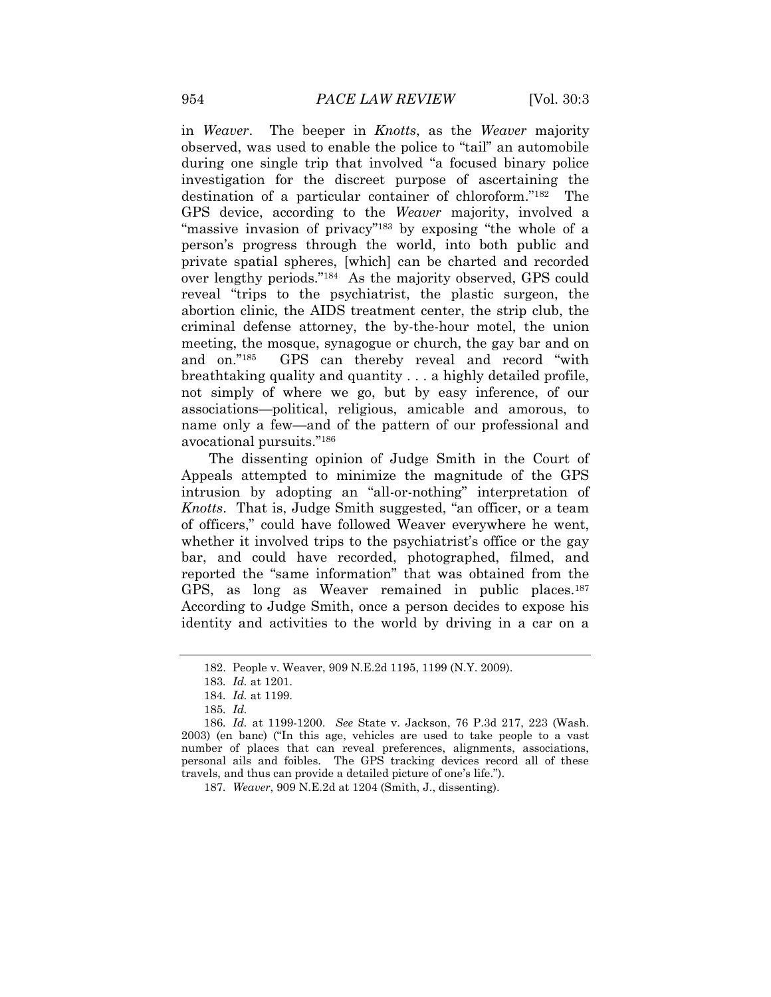in *Weaver*. The beeper in *Knotts*, as the *Weaver* majority observed, was used to enable the police to "tail" an automobile during one single trip that involved "a focused binary police investigation for the discreet purpose of ascertaining the destination of a particular container of chloroform."<sup>182</sup> The GPS device, according to the *Weaver* majority, involved a "massive invasion of privacy"<sup>183</sup> by exposing "the whole of a person"s progress through the world, into both public and private spatial spheres, [which] can be charted and recorded over lengthy periods."<sup>184</sup> As the majority observed, GPS could reveal "trips to the psychiatrist, the plastic surgeon, the abortion clinic, the AIDS treatment center, the strip club, the criminal defense attorney, the by-the-hour motel, the union meeting, the mosque, synagogue or church, the gay bar and on and on."<sup>185</sup> GPS can thereby reveal and record "with breathtaking quality and quantity . . . a highly detailed profile, not simply of where we go, but by easy inference, of our associations—political, religious, amicable and amorous, to name only a few—and of the pattern of our professional and avocational pursuits."<sup>186</sup>

The dissenting opinion of Judge Smith in the Court of Appeals attempted to minimize the magnitude of the GPS intrusion by adopting an "all-or-nothing" interpretation of *Knotts*.That is, Judge Smith suggested, "an officer, or a team of officers," could have followed Weaver everywhere he went, whether it involved trips to the psychiatrist's office or the gay bar, and could have recorded, photographed, filmed, and reported the "same information" that was obtained from the GPS, as long as Weaver remained in public places.<sup>187</sup> According to Judge Smith, once a person decides to expose his identity and activities to the world by driving in a car on a

<sup>182.</sup> People v. Weaver, 909 N.E.2d 1195, 1199 (N.Y. 2009).

<sup>183</sup>*. Id.* at 1201.

<sup>184</sup>*. Id.* at 1199.

<sup>185</sup>*. Id.*

<sup>186</sup>*. Id.* at 1199-1200. *See* State v. Jackson, 76 P.3d 217, 223 (Wash. 2003) (en banc) ("In this age, vehicles are used to take people to a vast number of places that can reveal preferences, alignments, associations, personal ails and foibles. The GPS tracking devices record all of these travels, and thus can provide a detailed picture of one"s life.").

<sup>187</sup>*. Weaver*, 909 N.E.2d at 1204 (Smith, J., dissenting).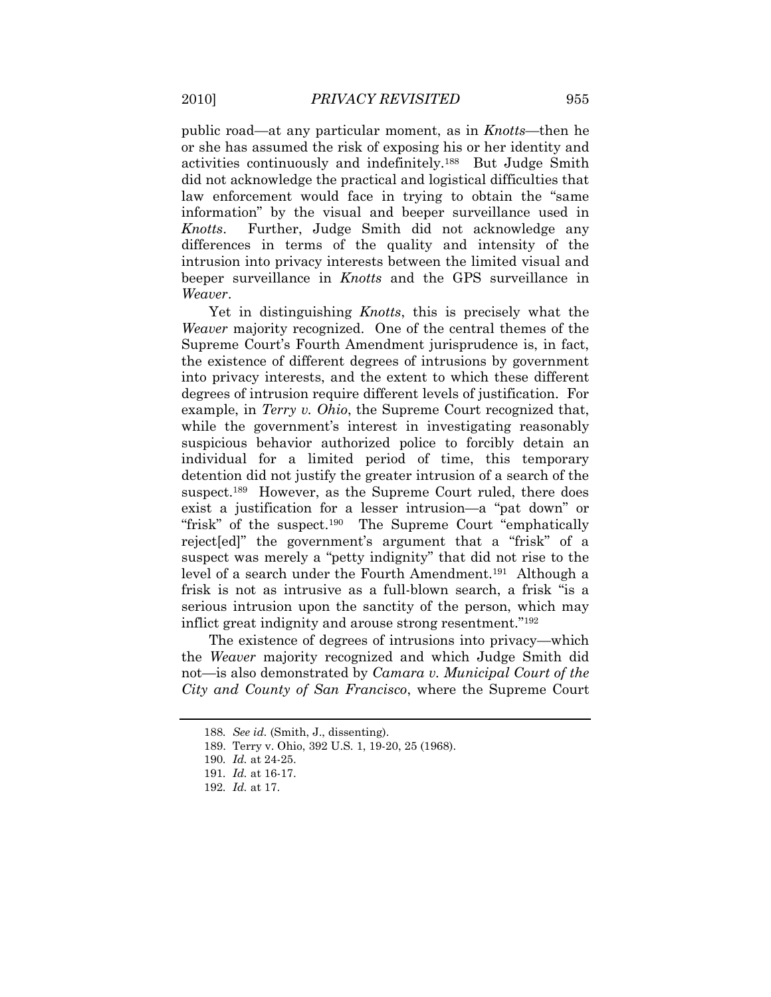public road—at any particular moment, as in *Knotts*—then he or she has assumed the risk of exposing his or her identity and activities continuously and indefinitely.<sup>188</sup> But Judge Smith did not acknowledge the practical and logistical difficulties that law enforcement would face in trying to obtain the "same information" by the visual and beeper surveillance used in *Knotts*.Further, Judge Smith did not acknowledge any differences in terms of the quality and intensity of the intrusion into privacy interests between the limited visual and beeper surveillance in *Knotts* and the GPS surveillance in *Weaver*.

Yet in distinguishing *Knotts*, this is precisely what the *Weaver* majority recognized. One of the central themes of the Supreme Court's Fourth Amendment jurisprudence is, in fact, the existence of different degrees of intrusions by government into privacy interests, and the extent to which these different degrees of intrusion require different levels of justification. For example, in *Terry v. Ohio*, the Supreme Court recognized that, while the government's interest in investigating reasonably suspicious behavior authorized police to forcibly detain an individual for a limited period of time, this temporary detention did not justify the greater intrusion of a search of the suspect.<sup>189</sup> However, as the Supreme Court ruled, there does exist a justification for a lesser intrusion—a "pat down" or "frisk" of the suspect.<sup>190</sup> The Supreme Court "emphatically" reject[ed]" the government's argument that a "frisk" of a suspect was merely a "petty indignity" that did not rise to the level of a search under the Fourth Amendment.<sup>191</sup> Although a frisk is not as intrusive as a full-blown search, a frisk "is a serious intrusion upon the sanctity of the person, which may inflict great indignity and arouse strong resentment."<sup>192</sup>

The existence of degrees of intrusions into privacy—which the *Weaver* majority recognized and which Judge Smith did not—is also demonstrated by *Camara v. Municipal Court of the City and County of San Francisco*, where the Supreme Court

<sup>188</sup>*. See id.* (Smith, J., dissenting).

<sup>189.</sup> Terry v. Ohio, 392 U.S. 1, 19-20, 25 (1968).

<sup>190</sup>*. Id.* at 24-25.

<sup>191</sup>*. Id.* at 16-17.

<sup>192</sup>*. Id.* at 17.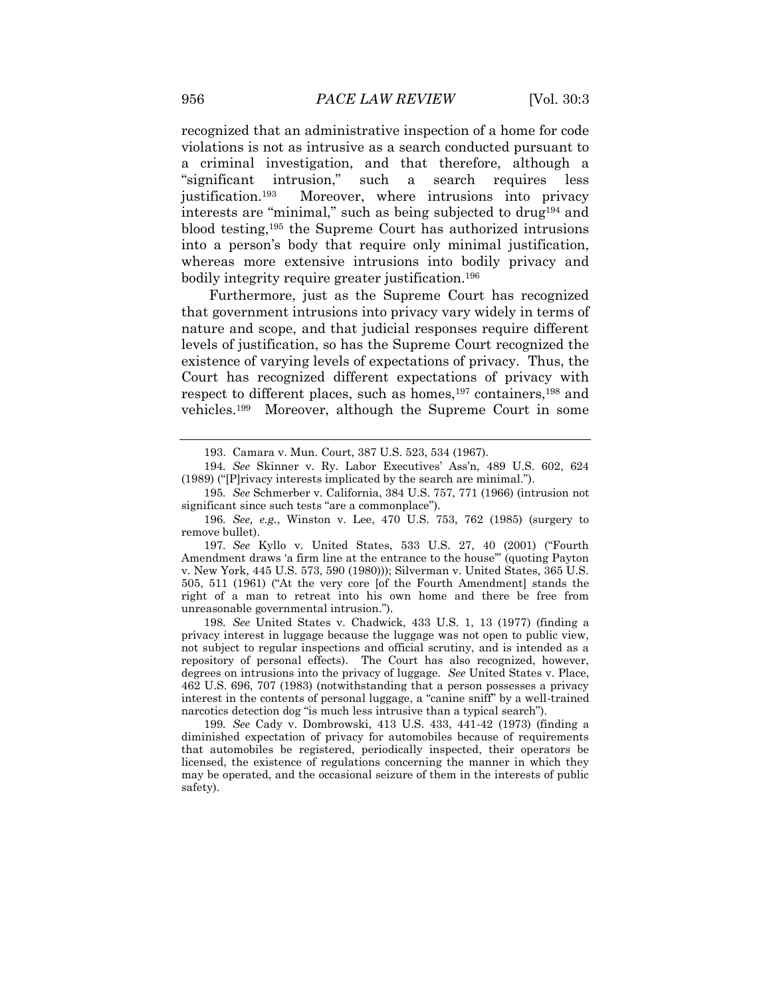recognized that an administrative inspection of a home for code violations is not as intrusive as a search conducted pursuant to a criminal investigation, and that therefore, although a "significant intrusion," such a search requires less justification.<sup>193</sup> Moreover, where intrusions into privacy interests are "minimal," such as being subjected to drug<sup>194</sup> and blood testing,<sup>195</sup> the Supreme Court has authorized intrusions into a person's body that require only minimal justification, whereas more extensive intrusions into bodily privacy and bodily integrity require greater justification.<sup>196</sup>

Furthermore, just as the Supreme Court has recognized that government intrusions into privacy vary widely in terms of nature and scope, and that judicial responses require different levels of justification, so has the Supreme Court recognized the existence of varying levels of expectations of privacy. Thus, the Court has recognized different expectations of privacy with respect to different places, such as homes,<sup>197</sup> containers,<sup>198</sup> and vehicles.<sup>199</sup> Moreover, although the Supreme Court in some

197*. See* Kyllo v. United States, 533 U.S. 27, 40 (2001) ("Fourth Amendment draws "a firm line at the entrance to the house"" (quoting Payton v. New York, 445 U.S. 573, 590 (1980))); Silverman v. United States, 365 U.S. 505, 511 (1961) ("At the very core [of the Fourth Amendment] stands the right of a man to retreat into his own home and there be free from unreasonable governmental intrusion.").

198*. See* United States v. Chadwick, 433 U.S. 1, 13 (1977) (finding a privacy interest in luggage because the luggage was not open to public view, not subject to regular inspections and official scrutiny, and is intended as a repository of personal effects). The Court has also recognized, however, degrees on intrusions into the privacy of luggage. *See* United States v. Place, 462 U.S. 696, 707 (1983) (notwithstanding that a person possesses a privacy interest in the contents of personal luggage, a "canine sniff" by a well-trained narcotics detection dog "is much less intrusive than a typical search").

199*. See* Cady v. Dombrowski, 413 U.S. 433, 441-42 (1973) (finding a diminished expectation of privacy for automobiles because of requirements that automobiles be registered, periodically inspected, their operators be licensed, the existence of regulations concerning the manner in which they may be operated, and the occasional seizure of them in the interests of public safety).

<sup>193.</sup> Camara v. Mun. Court, 387 U.S. 523, 534 (1967).

<sup>194</sup>*. See* Skinner v. Ry. Labor Executives" Ass"n, 489 U.S. 602, 624 (1989) ("[P]rivacy interests implicated by the search are minimal.").

<sup>195</sup>*. See* Schmerber v. California, 384 U.S. 757, 771 (1966) (intrusion not significant since such tests "are a commonplace").

<sup>196</sup>*. See, e.g.*, Winston v. Lee, 470 U.S. 753, 762 (1985) (surgery to remove bullet).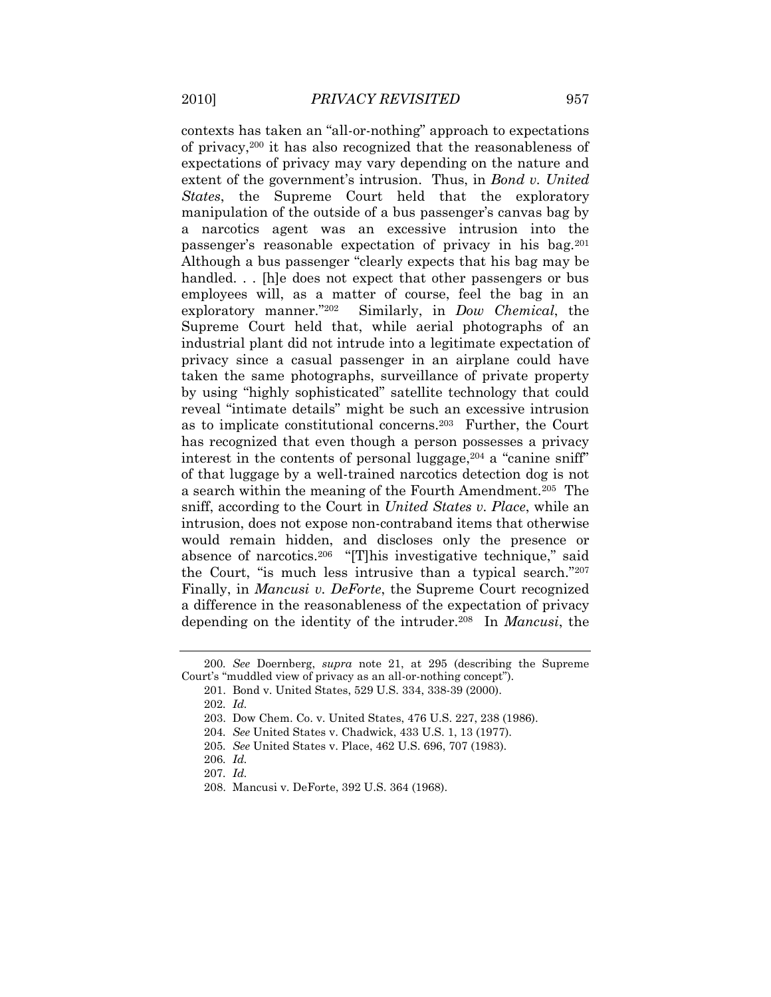contexts has taken an "all-or-nothing" approach to expectations of privacy,<sup>200</sup> it has also recognized that the reasonableness of expectations of privacy may vary depending on the nature and extent of the government's intrusion. Thus, in *Bond v. United States*, the Supreme Court held that the exploratory manipulation of the outside of a bus passenger's canvas bag by a narcotics agent was an excessive intrusion into the passenger's reasonable expectation of privacy in his bag.<sup>201</sup> Although a bus passenger "clearly expects that his bag may be handled... [h]e does not expect that other passengers or bus employees will, as a matter of course, feel the bag in an exploratory manner."<sup>202</sup> Similarly, in *Dow Chemical*, the Supreme Court held that, while aerial photographs of an industrial plant did not intrude into a legitimate expectation of privacy since a casual passenger in an airplane could have taken the same photographs, surveillance of private property by using "highly sophisticated" satellite technology that could reveal "intimate details" might be such an excessive intrusion as to implicate constitutional concerns.<sup>203</sup> Further, the Court has recognized that even though a person possesses a privacy interest in the contents of personal luggage,  $204$  a "canine sniff" of that luggage by a well-trained narcotics detection dog is not a search within the meaning of the Fourth Amendment.<sup>205</sup> The sniff, according to the Court in *United States v. Place*, while an intrusion, does not expose non-contraband items that otherwise would remain hidden, and discloses only the presence or absence of narcotics.<sup>206</sup> "[T]his investigative technique," said the Court, "is much less intrusive than a typical search."<sup>207</sup> Finally, in *Mancusi v. DeForte*, the Supreme Court recognized a difference in the reasonableness of the expectation of privacy depending on the identity of the intruder.<sup>208</sup> In *Mancusi*, the

<sup>200</sup>*. See* Doernberg, *supra* note 21, at 295 (describing the Supreme Court's "muddled view of privacy as an all-or-nothing concept".

<sup>201.</sup> Bond v. United States, 529 U.S. 334, 338-39 (2000).

<sup>202</sup>*. Id.*

<sup>203.</sup> Dow Chem. Co. v. United States, 476 U.S. 227, 238 (1986).

<sup>204</sup>*. See* United States v. Chadwick, 433 U.S. 1, 13 (1977).

<sup>205</sup>*. See* United States v. Place, 462 U.S. 696, 707 (1983).

<sup>206</sup>*. Id.*

<sup>207</sup>*. Id.*

<sup>208.</sup> Mancusi v. DeForte, 392 U.S. 364 (1968).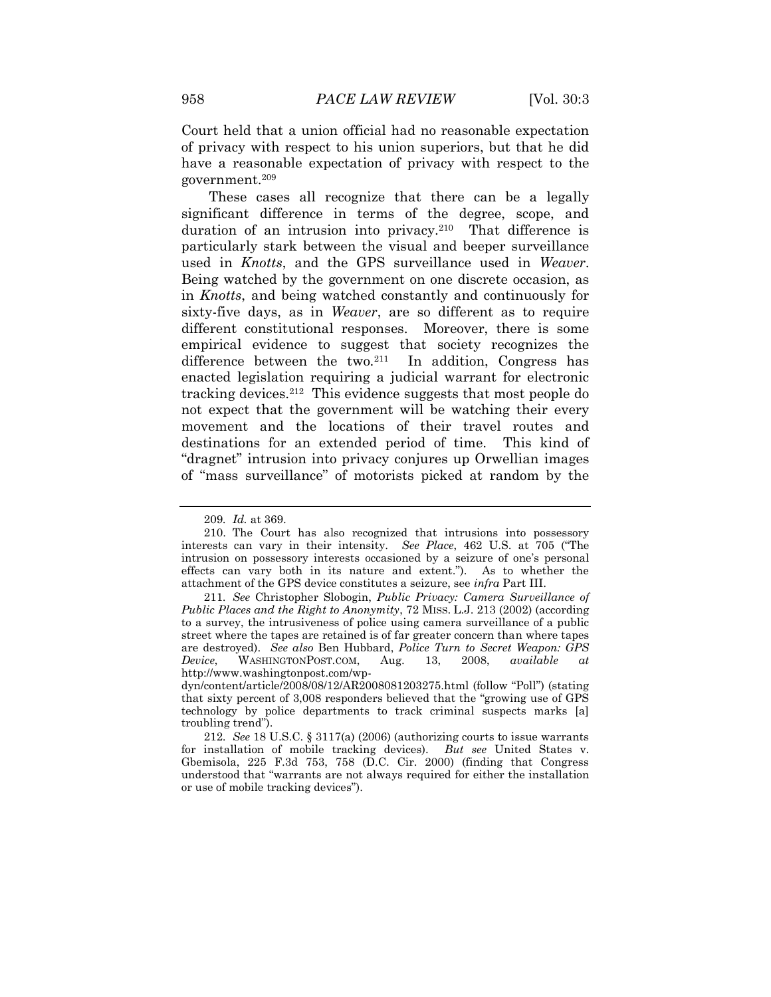Court held that a union official had no reasonable expectation of privacy with respect to his union superiors, but that he did have a reasonable expectation of privacy with respect to the government.<sup>209</sup>

These cases all recognize that there can be a legally significant difference in terms of the degree, scope, and duration of an intrusion into privacy.<sup>210</sup> That difference is particularly stark between the visual and beeper surveillance used in *Knotts*, and the GPS surveillance used in *Weaver*. Being watched by the government on one discrete occasion, as in *Knotts*, and being watched constantly and continuously for sixty-five days, as in *Weaver*, are so different as to require different constitutional responses. Moreover, there is some empirical evidence to suggest that society recognizes the difference between the two.<sup>211</sup> In addition, Congress has enacted legislation requiring a judicial warrant for electronic tracking devices.<sup>212</sup> This evidence suggests that most people do not expect that the government will be watching their every movement and the locations of their travel routes and destinations for an extended period of time. This kind of "dragnet" intrusion into privacy conjures up Orwellian images of "mass surveillance" of motorists picked at random by the

<sup>209</sup>*. Id.* at 369.

<sup>210.</sup> The Court has also recognized that intrusions into possessory interests can vary in their intensity. *See Place*, 462 U.S. at 705 ("The intrusion on possessory interests occasioned by a seizure of one"s personal effects can vary both in its nature and extent."). As to whether the attachment of the GPS device constitutes a seizure, see *infra* Part III.

<sup>211</sup>*. See* Christopher Slobogin, *Public Privacy: Camera Surveillance of Public Places and the Right to Anonymity*, 72 MISS. L.J. 213 (2002) (according to a survey, the intrusiveness of police using camera surveillance of a public street where the tapes are retained is of far greater concern than where tapes are destroyed). *See also* Ben Hubbard, *Police Turn to Secret Weapon: GPS Device*, WASHINGTONPOST.COM, Aug. 13, 2008, *available at* http://www.washingtonpost.com/wp-

dyn/content/article/2008/08/12/AR2008081203275.html (follow "Poll") (stating that sixty percent of 3,008 responders believed that the "growing use of GPS technology by police departments to track criminal suspects marks [a] troubling trend").

<sup>212</sup>*. See* 18 U.S.C. § 3117(a) (2006) (authorizing courts to issue warrants for installation of mobile tracking devices). *But see* United States v. Gbemisola, 225 F.3d 753, 758 (D.C. Cir. 2000) (finding that Congress understood that "warrants are not always required for either the installation or use of mobile tracking devices").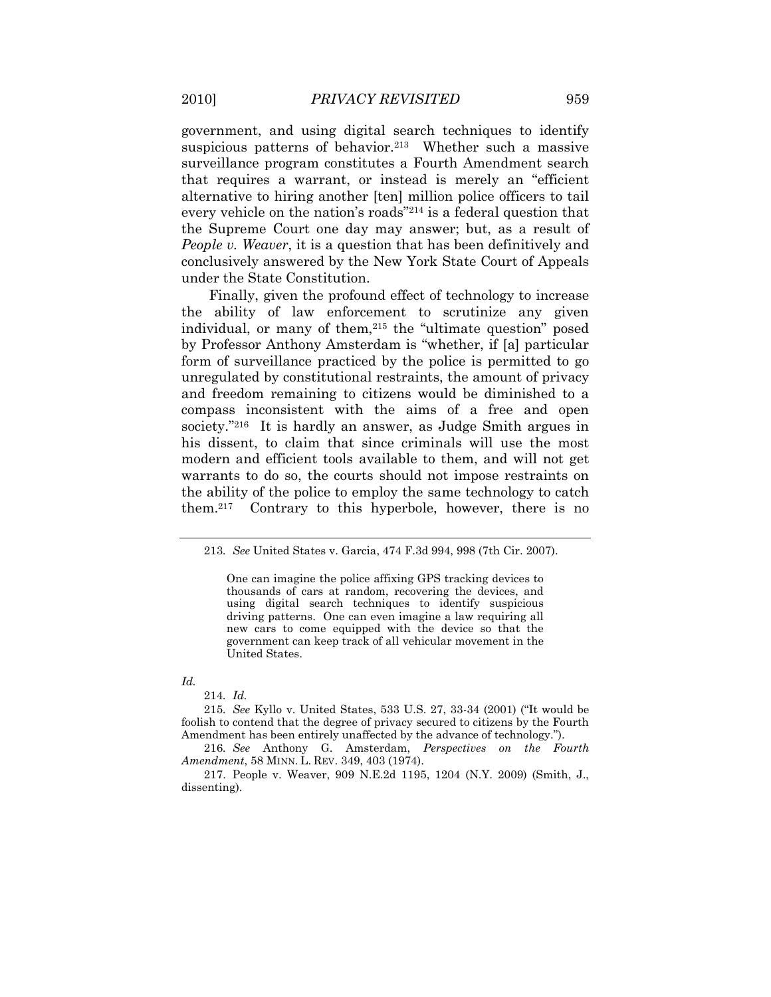government, and using digital search techniques to identify suspicious patterns of behavior.<sup>213</sup> Whether such a massive surveillance program constitutes a Fourth Amendment search that requires a warrant, or instead is merely an "efficient alternative to hiring another [ten] million police officers to tail every vehicle on the nation"s roads"<sup>214</sup> is a federal question that the Supreme Court one day may answer; but, as a result of *People v. Weaver*, it is a question that has been definitively and conclusively answered by the New York State Court of Appeals under the State Constitution.

Finally, given the profound effect of technology to increase the ability of law enforcement to scrutinize any given individual, or many of them,<sup>215</sup> the "ultimate question" posed by Professor Anthony Amsterdam is "whether, if [a] particular form of surveillance practiced by the police is permitted to go unregulated by constitutional restraints, the amount of privacy and freedom remaining to citizens would be diminished to a compass inconsistent with the aims of a free and open society."<sup>216</sup> It is hardly an answer, as Judge Smith argues in his dissent, to claim that since criminals will use the most modern and efficient tools available to them, and will not get warrants to do so, the courts should not impose restraints on the ability of the police to employ the same technology to catch them.<sup>217</sup> Contrary to this hyperbole, however, there is no

#### *Id.*

214*. Id.*

215*. See* Kyllo v. United States, 533 U.S. 27, 33-34 (2001) ("It would be foolish to contend that the degree of privacy secured to citizens by the Fourth Amendment has been entirely unaffected by the advance of technology.").

216*. See* Anthony G. Amsterdam, *Perspectives on the Fourth Amendment*, 58 MINN. L. REV. 349, 403 (1974).

217. People v. Weaver, 909 N.E.2d 1195, 1204 (N.Y. 2009) (Smith, J., dissenting).

<sup>213</sup>*. See* United States v. Garcia, 474 F.3d 994, 998 (7th Cir. 2007).

One can imagine the police affixing GPS tracking devices to thousands of cars at random, recovering the devices, and using digital search techniques to identify suspicious driving patterns. One can even imagine a law requiring all new cars to come equipped with the device so that the government can keep track of all vehicular movement in the United States.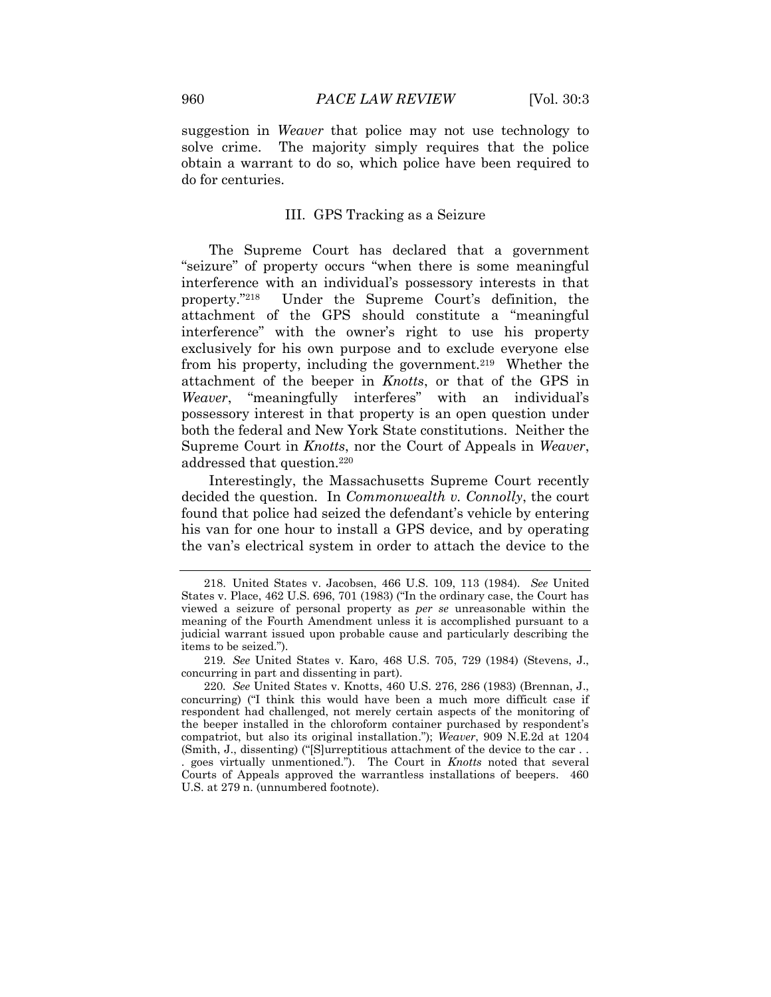suggestion in *Weaver* that police may not use technology to solve crime. The majority simply requires that the police obtain a warrant to do so, which police have been required to do for centuries.

#### III. GPS Tracking as a Seizure

The Supreme Court has declared that a government "seizure" of property occurs "when there is some meaningful interference with an individual"s possessory interests in that property."<sup>218</sup> Under the Supreme Court's definition, the attachment of the GPS should constitute a "meaningful interference" with the owner"s right to use his property exclusively for his own purpose and to exclude everyone else from his property, including the government.<sup>219</sup> Whether the attachment of the beeper in *Knotts*, or that of the GPS in *Weaver*, "meaningfully interferes" with an individual"s possessory interest in that property is an open question under both the federal and New York State constitutions. Neither the Supreme Court in *Knotts*, nor the Court of Appeals in *Weaver*, addressed that question.<sup>220</sup>

Interestingly, the Massachusetts Supreme Court recently decided the question. In *Commonwealth v. Connolly*, the court found that police had seized the defendant's vehicle by entering his van for one hour to install a GPS device, and by operating the van"s electrical system in order to attach the device to the

219*. See* United States v. Karo, 468 U.S. 705, 729 (1984) (Stevens, J., concurring in part and dissenting in part).

220*. See* United States v. Knotts, 460 U.S. 276, 286 (1983) (Brennan, J., concurring) ("I think this would have been a much more difficult case if respondent had challenged, not merely certain aspects of the monitoring of the beeper installed in the chloroform container purchased by respondent"s compatriot, but also its original installation."); *Weaver*, 909 N.E.2d at 1204 (Smith, J., dissenting) ("[S]urreptitious attachment of the device to the car . . . goes virtually unmentioned."). The Court in *Knotts* noted that several Courts of Appeals approved the warrantless installations of beepers. 460 U.S. at 279 n. (unnumbered footnote).

<sup>218.</sup> United States v. Jacobsen, 466 U.S. 109, 113 (1984). *See* United States v. Place, 462 U.S. 696, 701 (1983) ("In the ordinary case, the Court has viewed a seizure of personal property as *per se* unreasonable within the meaning of the Fourth Amendment unless it is accomplished pursuant to a judicial warrant issued upon probable cause and particularly describing the items to be seized.").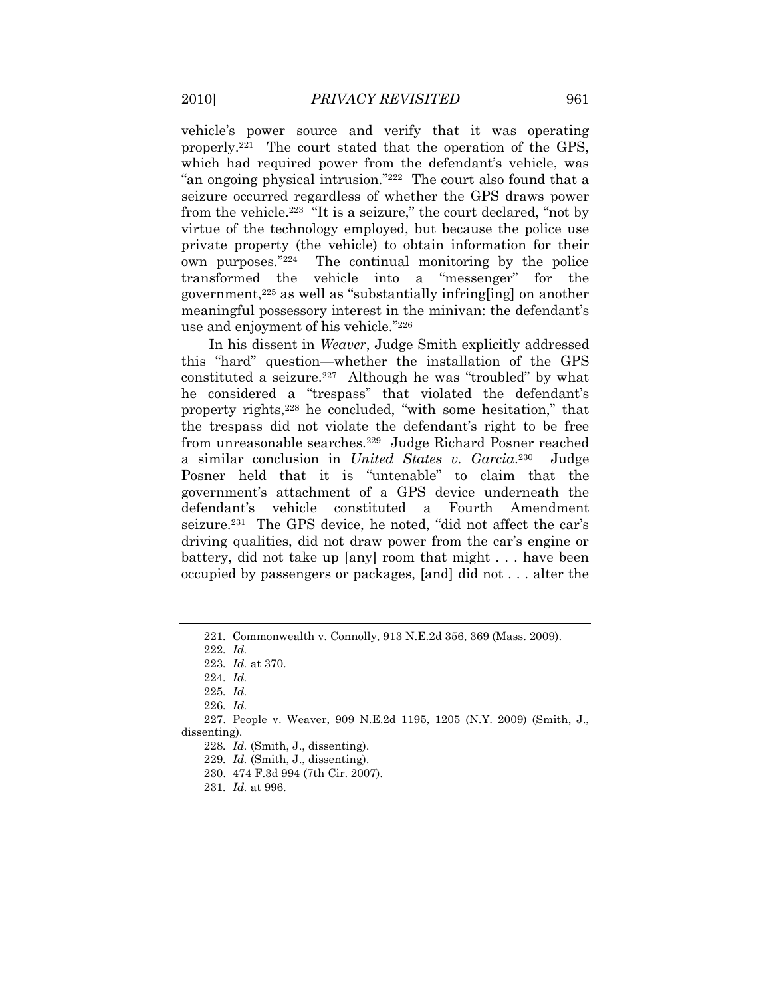vehicle"s power source and verify that it was operating properly.<sup>221</sup> The court stated that the operation of the GPS, which had required power from the defendant's vehicle, was "an ongoing physical intrusion."<sup>222</sup> The court also found that a seizure occurred regardless of whether the GPS draws power from the vehicle.<sup>223</sup> "It is a seizure," the court declared, "not by virtue of the technology employed, but because the police use private property (the vehicle) to obtain information for their own purposes."<sup>224</sup> The continual monitoring by the police transformed the vehicle into a "messenger" for the government,<sup>225</sup> as well as "substantially infring[ing] on another meaningful possessory interest in the minivan: the defendant"s use and enjoyment of his vehicle." 226

In his dissent in *Weaver*, Judge Smith explicitly addressed this "hard" question—whether the installation of the GPS constituted a seizure.<sup>227</sup> Although he was "troubled" by what he considered a "trespass" that violated the defendant's property rights,<sup>228</sup> he concluded, "with some hesitation," that the trespass did not violate the defendant"s right to be free from unreasonable searches.<sup>229</sup> Judge Richard Posner reached a similar conclusion in *United States v. Garcia*. 230 Judge Posner held that it is "untenable" to claim that the government"s attachment of a GPS device underneath the defendant"s vehicle constituted a Fourth Amendment seizure.<sup>231</sup> The GPS device, he noted, "did not affect the car's driving qualities, did not draw power from the car's engine or battery, did not take up [any] room that might . . . have been occupied by passengers or packages, [and] did not . . . alter the

<sup>221</sup>*.* Commonwealth v. Connolly, 913 N.E.2d 356, 369 (Mass. 2009).

<sup>222</sup>*. Id.*

<sup>223</sup>*. Id.* at 370.

<sup>224</sup>*. Id.*

<sup>225</sup>*. Id.*

<sup>226</sup>*. Id.*

<sup>227.</sup> People v. Weaver, 909 N.E.2d 1195, 1205 (N.Y. 2009) (Smith, J., dissenting).

<sup>228</sup>*. Id.* (Smith, J., dissenting).

<sup>229</sup>*. Id.* (Smith, J., dissenting).

<sup>230.</sup> 474 F.3d 994 (7th Cir. 2007).

<sup>231</sup>*. Id.* at 996.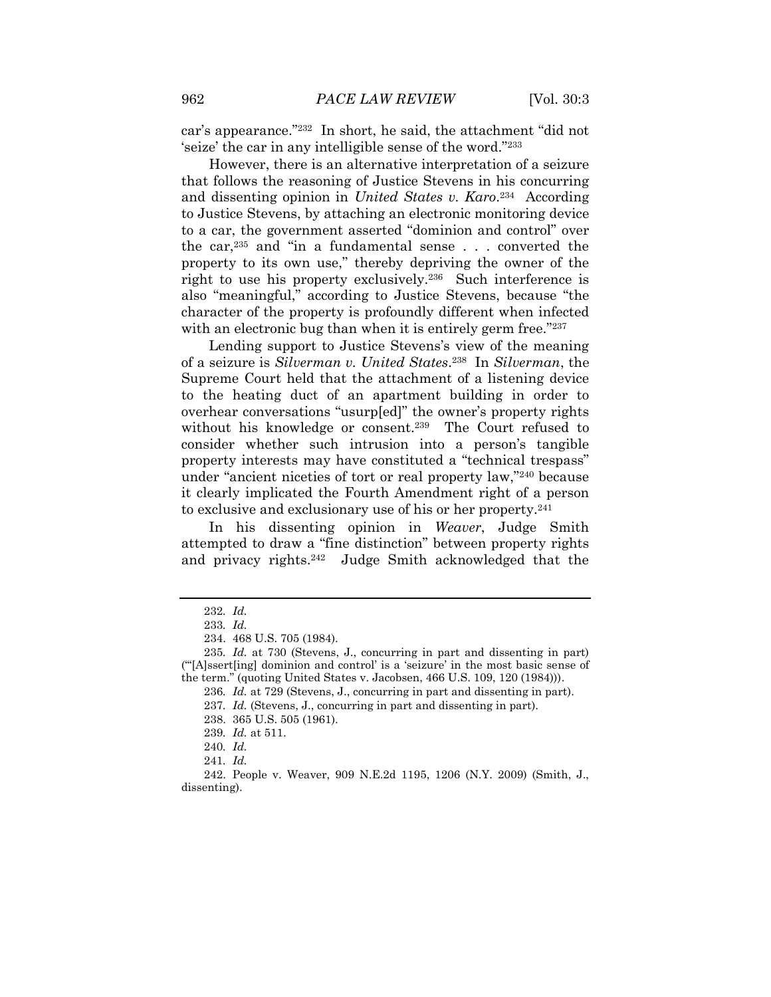car"s appearance."<sup>232</sup> In short, he said, the attachment "did not seize' the car in any intelligible sense of the word."<sup>233</sup>

However, there is an alternative interpretation of a seizure that follows the reasoning of Justice Stevens in his concurring and dissenting opinion in *United States v. Karo*.<sup>234</sup> According to Justice Stevens, by attaching an electronic monitoring device to a car, the government asserted "dominion and control" over the car,<sup>235</sup> and "in a fundamental sense . . . converted the property to its own use," thereby depriving the owner of the right to use his property exclusively.<sup>236</sup> Such interference is also "meaningful," according to Justice Stevens, because "the character of the property is profoundly different when infected with an electronic bug than when it is entirely germ free."237

Lending support to Justice Stevens's view of the meaning of a seizure is *Silverman v. United States*. 238 In *Silverman*, the Supreme Court held that the attachment of a listening device to the heating duct of an apartment building in order to overhear conversations "usurp[ed]" the owner"s property rights without his knowledge or consent.<sup>239</sup> The Court refused to consider whether such intrusion into a person's tangible property interests may have constituted a "technical trespass" under "ancient niceties of tort or real property law,"<sup>240</sup> because it clearly implicated the Fourth Amendment right of a person to exclusive and exclusionary use of his or her property.<sup>241</sup>

In his dissenting opinion in *Weaver*, Judge Smith attempted to draw a "fine distinction" between property rights and privacy rights.<sup>242</sup> Judge Smith acknowledged that the

<sup>232</sup>*. Id.*

<sup>233</sup>*. Id.*

<sup>234.</sup> 468 U.S. 705 (1984).

<sup>235</sup>*. Id.* at 730 (Stevens, J., concurring in part and dissenting in part) (""[A]ssert[ing] dominion and control" is a "seizure" in the most basic sense of the term." (quoting United States v. Jacobsen, 466 U.S. 109, 120 (1984))).

<sup>236</sup>*. Id.* at 729 (Stevens, J., concurring in part and dissenting in part). 237*. Id.* (Stevens, J., concurring in part and dissenting in part).

<sup>238.</sup> 365 U.S. 505 (1961).

<sup>239</sup>*. Id.* at 511.

<sup>240</sup>*. Id.*

<sup>241</sup>*. Id.*

<sup>242.</sup> People v. Weaver, 909 N.E.2d 1195, 1206 (N.Y. 2009) (Smith, J., dissenting).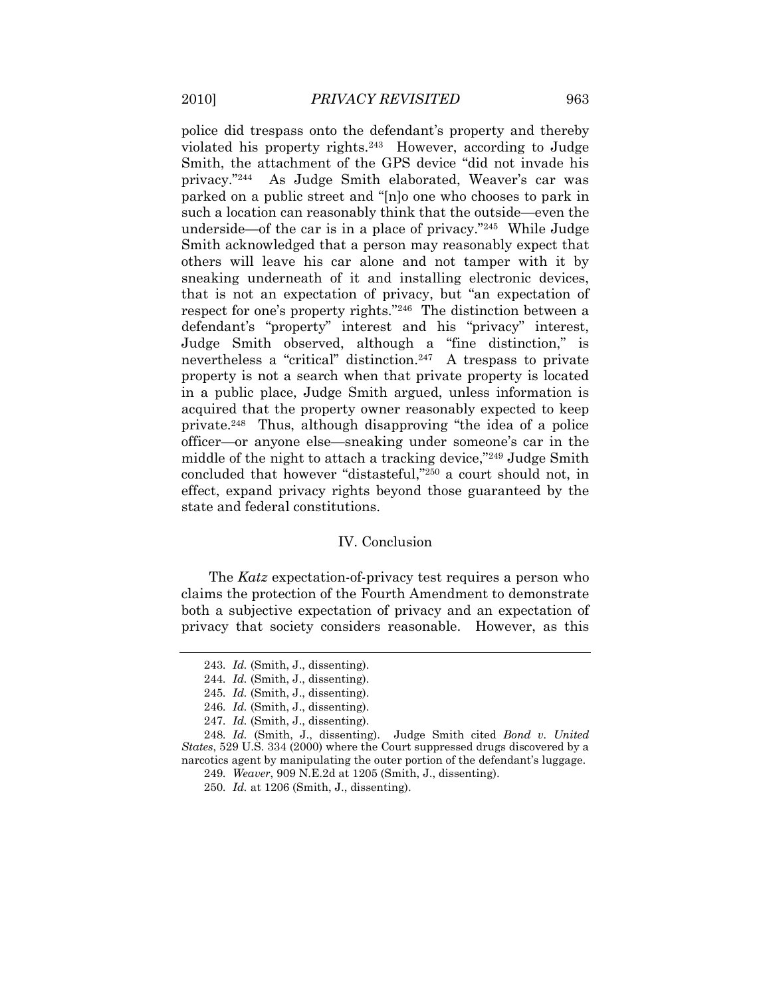police did trespass onto the defendant"s property and thereby violated his property rights.<sup>243</sup> However, according to Judge Smith, the attachment of the GPS device "did not invade his privacy."<sup>244</sup> As Judge Smith elaborated, Weaver's car was parked on a public street and "[n]o one who chooses to park in such a location can reasonably think that the outside—even the underside—of the car is in a place of privacy."<sup>245</sup> While Judge Smith acknowledged that a person may reasonably expect that others will leave his car alone and not tamper with it by sneaking underneath of it and installing electronic devices, that is not an expectation of privacy, but "an expectation of respect for one's property rights."<sup>246</sup> The distinction between a defendant's "property" interest and his "privacy" interest, Judge Smith observed, although a "fine distinction," is nevertheless a "critical" distinction.<sup>247</sup> A trespass to private property is not a search when that private property is located in a public place, Judge Smith argued, unless information is acquired that the property owner reasonably expected to keep private.<sup>248</sup> Thus, although disapproving "the idea of a police officer—or anyone else—sneaking under someone"s car in the middle of the night to attach a tracking device,"<sup>249</sup> Judge Smith concluded that however "distasteful,"<sup>250</sup> a court should not, in effect, expand privacy rights beyond those guaranteed by the state and federal constitutions.

#### IV. Conclusion

The *Katz* expectation-of-privacy test requires a person who claims the protection of the Fourth Amendment to demonstrate both a subjective expectation of privacy and an expectation of privacy that society considers reasonable. However, as this

<sup>243</sup>*. Id.* (Smith, J., dissenting).

<sup>244</sup>*. Id.* (Smith, J., dissenting).

<sup>245</sup>*. Id.* (Smith, J., dissenting).

<sup>246</sup>*. Id.* (Smith, J., dissenting).

<sup>247</sup>*. Id.* (Smith, J., dissenting).

<sup>248</sup>*. Id.* (Smith, J., dissenting). Judge Smith cited *Bond v. United States*, 529 U.S. 334 (2000) where the Court suppressed drugs discovered by a narcotics agent by manipulating the outer portion of the defendant's luggage.

<sup>249</sup>*. Weaver*, 909 N.E.2d at 1205 (Smith, J., dissenting).

<sup>250</sup>*. Id.* at 1206 (Smith, J., dissenting).